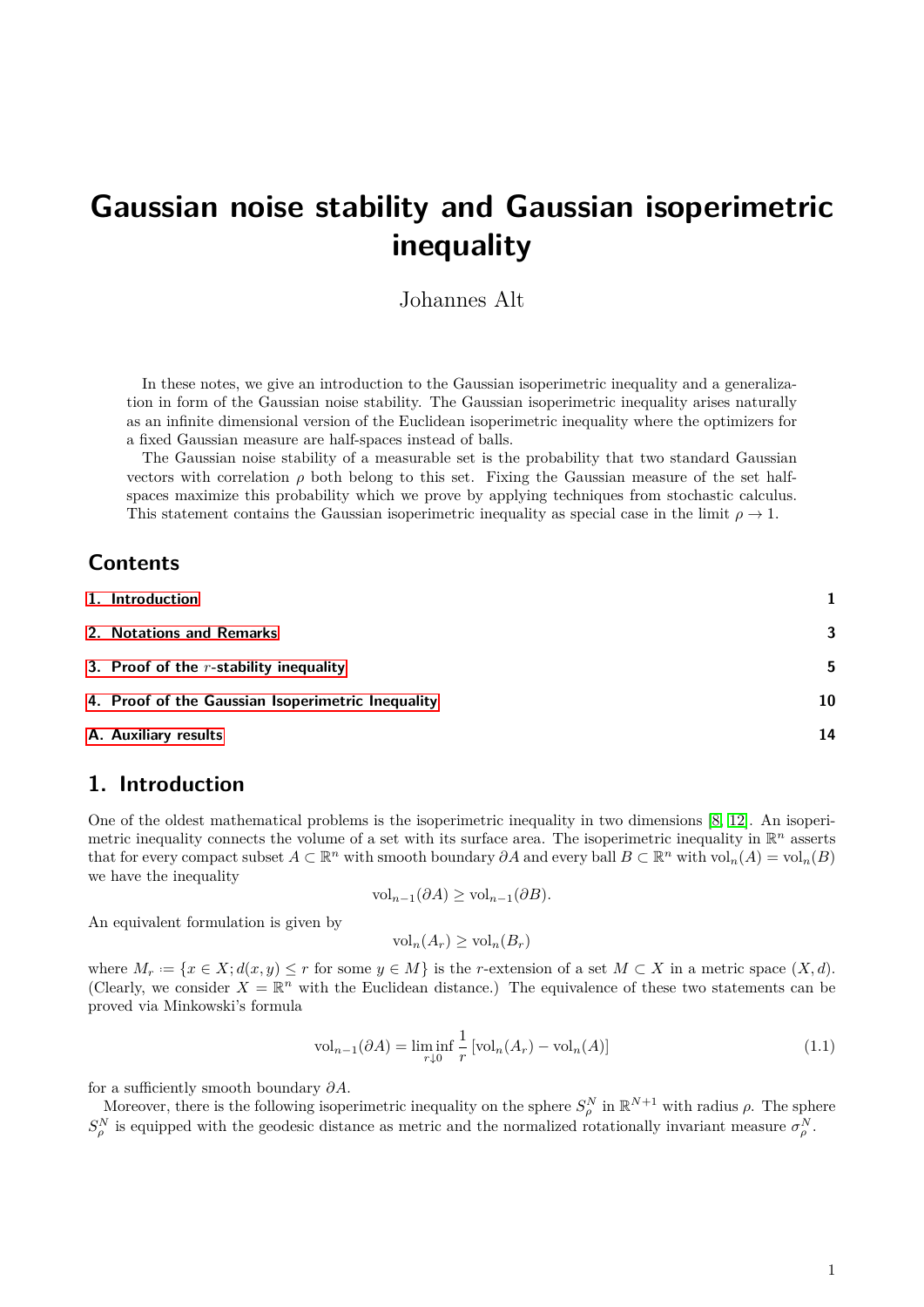# **Gaussian noise stability and Gaussian isoperimetric inequality**

## Johannes Alt

In these notes, we give an introduction to the Gaussian isoperimetric inequality and a generalization in form of the Gaussian noise stability. The Gaussian isoperimetric inequality arises naturally as an infinite dimensional version of the Euclidean isoperimetric inequality where the optimizers for a fixed Gaussian measure are half-spaces instead of balls.

The Gaussian noise stability of a measurable set is the probability that two standard Gaussian vectors with correlation  $\rho$  both belong to this set. Fixing the Gaussian measure of the set halfspaces maximize this probability which we prove by applying techniques from stochastic calculus. This statement contains the Gaussian isoperimetric inequality as special case in the limit  $\rho \to 1$ .

## **Contents**

| A. Auxiliary results                              | 14 |
|---------------------------------------------------|----|
| 4. Proof of the Gaussian Isoperimetric Inequality | 10 |
| 3. Proof of the $r$ -stability inequality         | -5 |
| 2. Notations and Remarks                          | 3  |
| 1. Introduction                                   |    |

## <span id="page-0-0"></span>**1. Introduction**

One of the oldest mathematical problems is the isoperimetric inequality in two dimensions [\[8,](#page-16-0) [12\]](#page-16-1). An isoperimetric inequality connects the volume of a set with its surface area. The isoperimetric inequality in R *<sup>n</sup>* asserts that for every compact subset  $A \subset \mathbb{R}^n$  with smooth boundary  $\partial A$  and every ball  $B \subset \mathbb{R}^n$  with  $\text{vol}_n(A) = \text{vol}_n(B)$ we have the inequality

$$
\text{vol}_{n-1}(\partial A) \ge \text{vol}_{n-1}(\partial B).
$$

An equivalent formulation is given by

$$
\text{vol}_n(A_r) \ge \text{vol}_n(B_r)
$$

where  $M_r := \{x \in X; d(x, y) \leq r \text{ for some } y \in M\}$  is the *r*-extension of a set  $M \subset X$  in a metric space  $(X, d)$ . (Clearly, we consider  $X = \mathbb{R}^n$  with the Euclidean distance.) The equivalence of these two statements can be proved via Minkowski's formula

<span id="page-0-1"></span>
$$
\text{vol}_{n-1}(\partial A) = \liminf_{r \downarrow 0} \frac{1}{r} \left[ \text{vol}_n(A_r) - \text{vol}_n(A) \right] \tag{1.1}
$$

for a sufficiently smooth boundary *∂A*.

Moreover, there is the following isoperimetric inequality on the sphere  $S_\rho^N$  in  $\mathbb{R}^{N+1}$  with radius  $\rho$ . The sphere  $S_{\rho}^N$  is equipped with the geodesic distance as metric and the normalized rotationally invariant measure  $\sigma_{\rho}^N$ .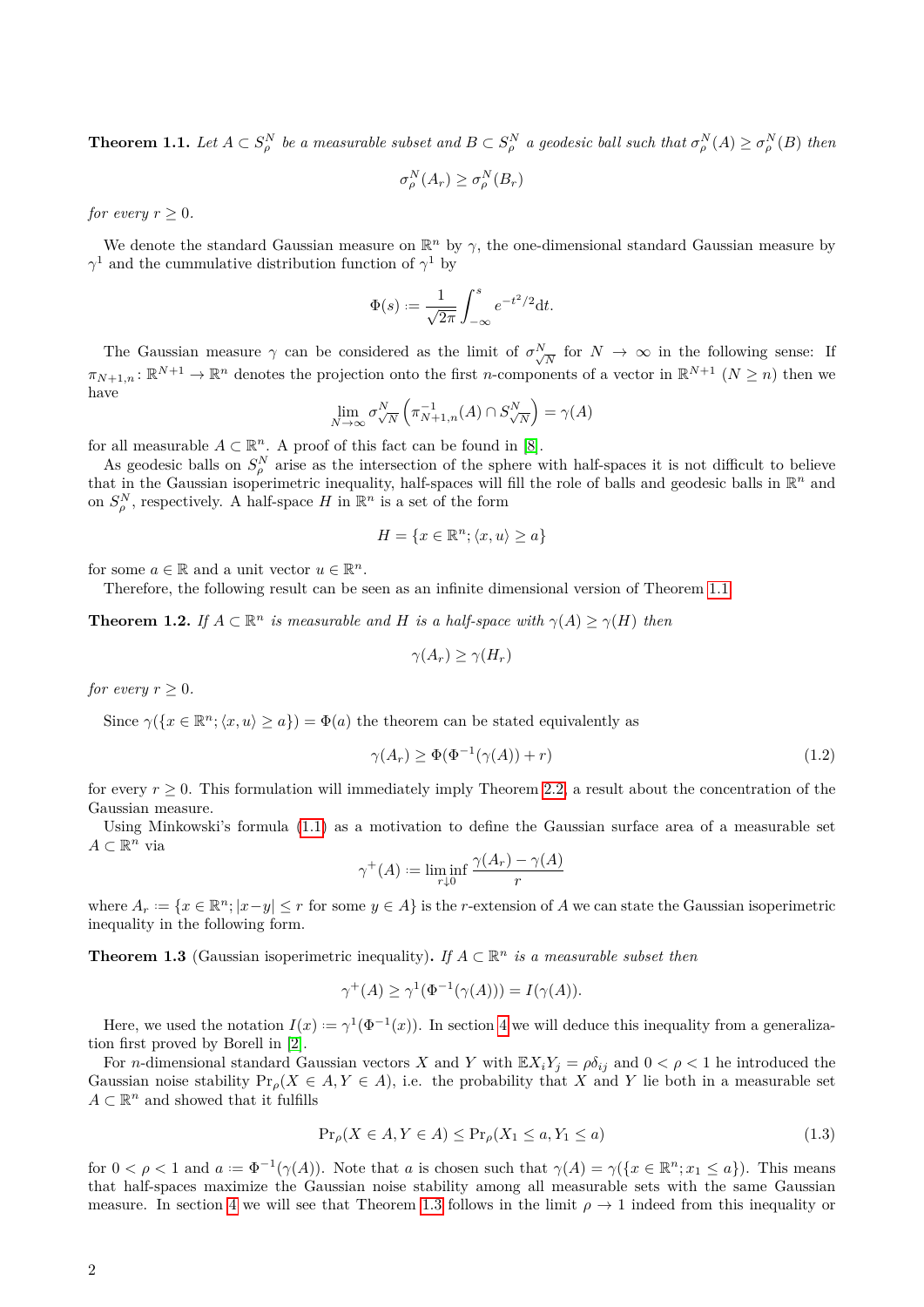<span id="page-1-0"></span>**Theorem 1.1.** Let  $A \subset S^N_\rho$  be a measurable subset and  $B \subset S^N_\rho$  a geodesic ball such that  $\sigma_\rho^N(A) \ge \sigma_\rho^N(B)$  then

$$
\sigma_{\rho}^N(A_r) \ge \sigma_{\rho}^N(B_r)
$$

*for every*  $r > 0$ *.* 

We denote the standard Gaussian measure on  $\mathbb{R}^n$  by  $\gamma$ , the one-dimensional standard Gaussian measure by *γ*<sup>1</sup> and the cummulative distribution function of *γ*<sup>1</sup> by

$$
\Phi(s) := \frac{1}{\sqrt{2\pi}} \int_{-\infty}^{s} e^{-t^2/2} \mathrm{d}t.
$$

The Gaussian measure  $\gamma$  can be considered as the limit of  $\sigma^N$  $\sqrt{\frac{N}{N}}$  for  $N \to \infty$  in the following sense: If  $\pi_{N+1,n} : \mathbb{R}^{N+1} \to \mathbb{R}^n$  denotes the projection onto the first *n*-components of a vector in  $\mathbb{R}^{N+1}$   $(N \geq n)$  then we have

$$
\lim_{N \to \infty} \sigma_{\sqrt{N}}^N \left( \pi_{N+1,n}^{-1}(A) \cap S_{\sqrt{N}}^N \right) = \gamma(A)
$$

for all measurable  $A \subset \mathbb{R}^n$ . A proof of this fact can be found in [\[8\]](#page-16-0).

As geodesic balls on  $S_\rho^N$  arise as the intersection of the sphere with half-spaces it is not difficult to believe that in the Gaussian isoperimetric inequality, half-spaces will fill the role of balls and geodesic balls in  $\mathbb{R}^n$  and on  $S^N_\rho$ , respectively. A half-space *H* in  $\mathbb{R}^n$  is a set of the form

$$
H = \{ x \in \mathbb{R}^n; \langle x, u \rangle \ge a \}
$$

for some  $a \in \mathbb{R}$  and a unit vector  $u \in \mathbb{R}^n$ .

Therefore, the following result can be seen as an infinite dimensional version of Theorem [1.1.](#page-1-0)

**Theorem 1.2.** *If*  $A \subset \mathbb{R}^n$  *is measurable and H is a half-space with*  $\gamma(A) \geq \gamma(H)$  *then* 

<span id="page-1-3"></span>
$$
\gamma(A_r) \ge \gamma(H_r)
$$

*for every*  $r > 0$ *.* 

Since  $\gamma(\lbrace x \in \mathbb{R}^n; \langle x, u \rangle \ge a \rbrace) = \Phi(a)$  the theorem can be stated equivalently as

$$
\gamma(A_r) \ge \Phi(\Phi^{-1}(\gamma(A)) + r) \tag{1.2}
$$

for every  $r \geq 0$ . This formulation will immediately imply Theorem [2.2,](#page-3-0) a result about the concentration of the Gaussian measure.

Using Minkowski's formula [\(1.1\)](#page-0-1) as a motivation to define the Gaussian surface area of a measurable set  $A ⊂ \mathbb{R}^n$  via

$$
\gamma^+(A) := \liminf_{r \downarrow 0} \frac{\gamma(A_r) - \gamma(A)}{r}
$$

where  $A_r := \{x \in \mathbb{R}^n; |x-y| \leq r \text{ for some } y \in A\}$  is the *r*-extension of *A* we can state the Gaussian isoperimetric inequality in the following form.

<span id="page-1-1"></span>**Theorem 1.3** (Gaussian isoperimetric inequality). If  $A \subset \mathbb{R}^n$  *is a measurable subset then* 

$$
\gamma^+(A) \ge \gamma^1(\Phi^{-1}(\gamma(A))) = I(\gamma(A)).
$$

Here, we used the notation  $I(x) := \gamma^1(\Phi^{-1}(x))$ . In section [4](#page-9-0) we will deduce this inequality from a generalization first proved by Borell in [\[2\]](#page-16-2).

For *n*-dimensional standard Gaussian vectors *X* and *Y* with  $\mathbb{E}X_iY_j = \rho \delta_{ij}$  and  $0 < \rho < 1$  he introduced the Gaussian noise stability  $Pr_{\rho}(X \in A, Y \in A)$ , i.e. the probability that X and Y lie both in a measurable set  $A \subset \mathbb{R}^n$  and showed that it fulfills

<span id="page-1-2"></span>
$$
\Pr_{\rho}(X \in A, Y \in A) \le \Pr_{\rho}(X_1 \le a, Y_1 \le a)
$$
\n<sup>(1.3)</sup>

for  $0 < \rho < 1$  and  $a := \Phi^{-1}(\gamma(A))$ . Note that *a* is chosen such that  $\gamma(A) = \gamma(\lbrace x \in \mathbb{R}^n; x_1 \leq a \rbrace)$ . This means that half-spaces maximize the Gaussian noise stability among all measurable sets with the same Gaussian measure. In section [4](#page-9-0) we will see that Theorem [1.3](#page-1-1) follows in the limit  $\rho \to 1$  indeed from this inequality or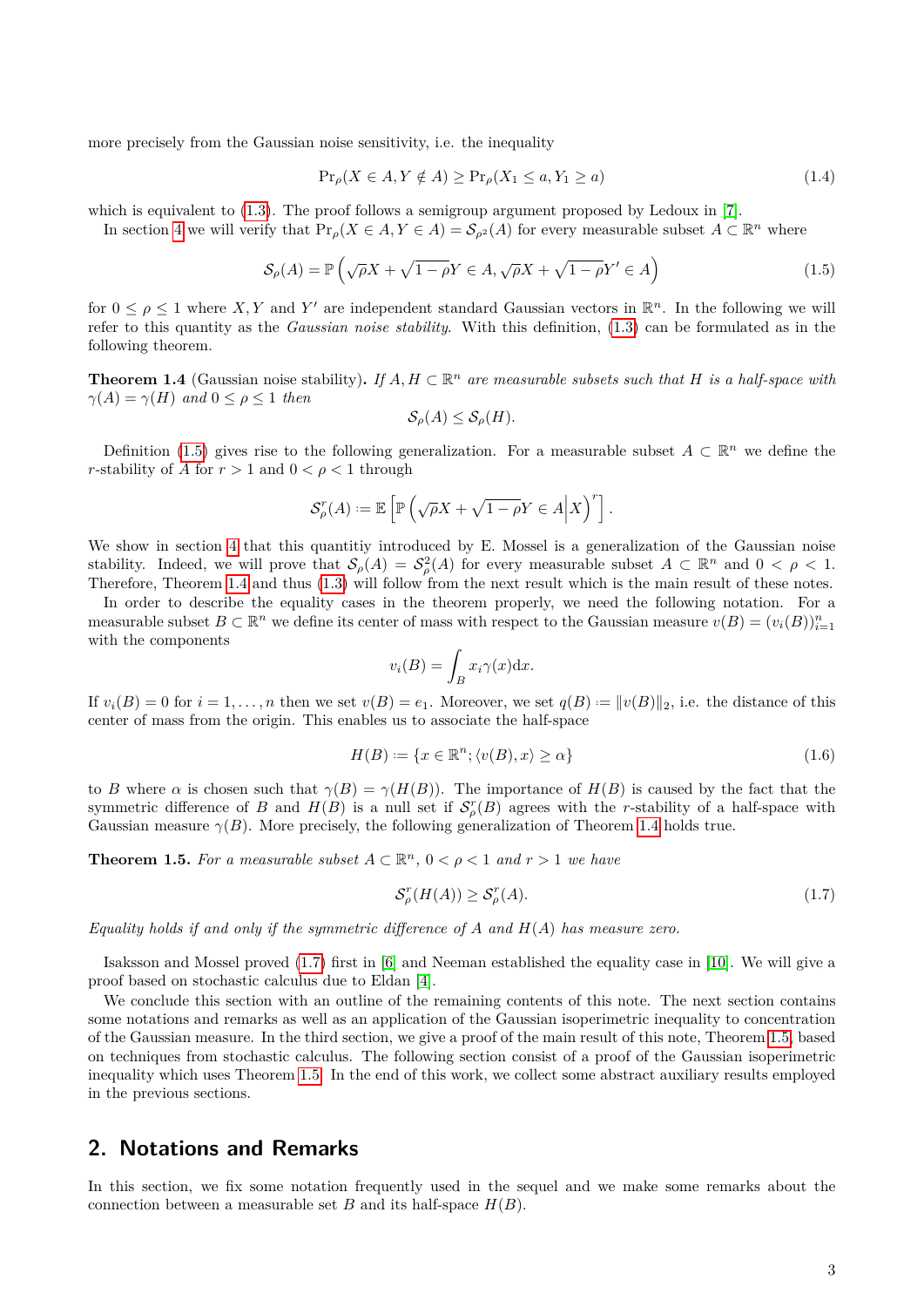more precisely from the Gaussian noise sensitivity, i.e. the inequality

<span id="page-2-6"></span>
$$
\Pr_{\rho}(X \in A, Y \notin A) \ge \Pr_{\rho}(X_1 \le a, Y_1 \ge a) \tag{1.4}
$$

which is equivalent to  $(1.3)$ . The proof follows a semigroup argument proposed by Ledoux in [\[7\]](#page-16-3).

In section [4](#page-9-0) we will verify that  $\Pr_{\rho}(X \in A, Y \in A) = \mathcal{S}_{\rho^2}(A)$  for every measurable subset  $A \subset \mathbb{R}^n$  where

$$
S_{\rho}(A) = \mathbb{P}\left(\sqrt{\rho}X + \sqrt{1-\rho}Y \in A, \sqrt{\rho}X + \sqrt{1-\rho}Y' \in A\right)
$$
\n(1.5)

for  $0 \leq \rho \leq 1$  where X, Y and Y' are independent standard Gaussian vectors in  $\mathbb{R}^n$ . In the following we will refer to this quantity as the *Gaussian noise stability*. With this definition, [\(1.3\)](#page-1-2) can be formulated as in the following theorem.

<span id="page-2-2"></span>**Theorem 1.4** (Gaussian noise stability). If  $A, H \subset \mathbb{R}^n$  are measurable subsets such that H is a half-space with  $\gamma(A) = \gamma(H)$  *and*  $0 \leq \rho \leq 1$  *then* 

<span id="page-2-1"></span>
$$
\mathcal{S}_{\rho}(A) \leq \mathcal{S}_{\rho}(H).
$$

Definition [\(1.5\)](#page-2-1) gives rise to the following generalization. For a measurable subset  $A \subset \mathbb{R}^n$  we define the *r*-stability of *A* for  $r > 1$  and  $0 < \rho < 1$  through

$$
\mathcal{S}_{\rho}^{r}(A) := \mathbb{E}\left[\mathbb{P}\left(\sqrt{\rho}X + \sqrt{1-\rho}Y \in A \middle| X\right)^{r}\right].
$$

We show in section [4](#page-9-0) that this quantitiy introduced by E. Mossel is a generalization of the Gaussian noise stability. Indeed, we will prove that  $S_\rho(A) = S_\rho^2(A)$  for every measurable subset  $A \subset \mathbb{R}^n$  and  $0 < \rho < 1$ . Therefore, Theorem [1.4](#page-2-2) and thus [\(1.3\)](#page-1-2) will follow from the next result which is the main result of these notes.

In order to describe the equality cases in the theorem properly, we need the following notation. For a measurable subset  $B \subset \mathbb{R}^n$  we define its center of mass with respect to the Gaussian measure  $v(B) = (v_i(B))_{i=1}^n$ with the components

<span id="page-2-5"></span>
$$
v_i(B) = \int_B x_i \gamma(x) \mathrm{d}x.
$$

If  $v_i(B) = 0$  for  $i = 1, \ldots, n$  then we set  $v(B) = e_1$ . Moreover, we set  $q(B) := ||v(B)||_2$ , i.e. the distance of this center of mass from the origin. This enables us to associate the half-space

$$
H(B) := \{ x \in \mathbb{R}^n; \langle v(B), x \rangle \ge \alpha \}
$$
\n
$$
(1.6)
$$

to *B* where  $\alpha$  is chosen such that  $\gamma(B) = \gamma(H(B))$ . The importance of  $H(B)$  is caused by the fact that the symmetric difference of *B* and  $H(B)$  is a null set if  $S_p^r(B)$  agrees with the *r*-stability of a half-space with Gaussian measure  $\gamma(B)$ . More precisely, the following generalization of Theorem [1.4](#page-2-2) holds true.

<span id="page-2-4"></span>**Theorem 1.5.** For a measurable subset  $A \subset \mathbb{R}^n$ ,  $0 < \rho < 1$  and  $r > 1$  we have

<span id="page-2-3"></span>
$$
\mathcal{S}_{\rho}^r(H(A)) \ge \mathcal{S}_{\rho}^r(A). \tag{1.7}
$$

*Equality holds if and only if the symmetric difference of A and H*(*A*) *has measure zero.*

Isaksson and Mossel proved [\(1.7\)](#page-2-3) first in [\[6\]](#page-16-4) and Neeman established the equality case in [\[10\]](#page-16-5). We will give a proof based on stochastic calculus due to Eldan [\[4\]](#page-16-6).

We conclude this section with an outline of the remaining contents of this note. The next section contains some notations and remarks as well as an application of the Gaussian isoperimetric inequality to concentration of the Gaussian measure. In the third section, we give a proof of the main result of this note, Theorem [1.5,](#page-2-4) based on techniques from stochastic calculus. The following section consist of a proof of the Gaussian isoperimetric inequality which uses Theorem [1.5.](#page-2-4) In the end of this work, we collect some abstract auxiliary results employed in the previous sections.

## <span id="page-2-0"></span>**2. Notations and Remarks**

In this section, we fix some notation frequently used in the sequel and we make some remarks about the connection between a measurable set *B* and its half-space  $H(B)$ .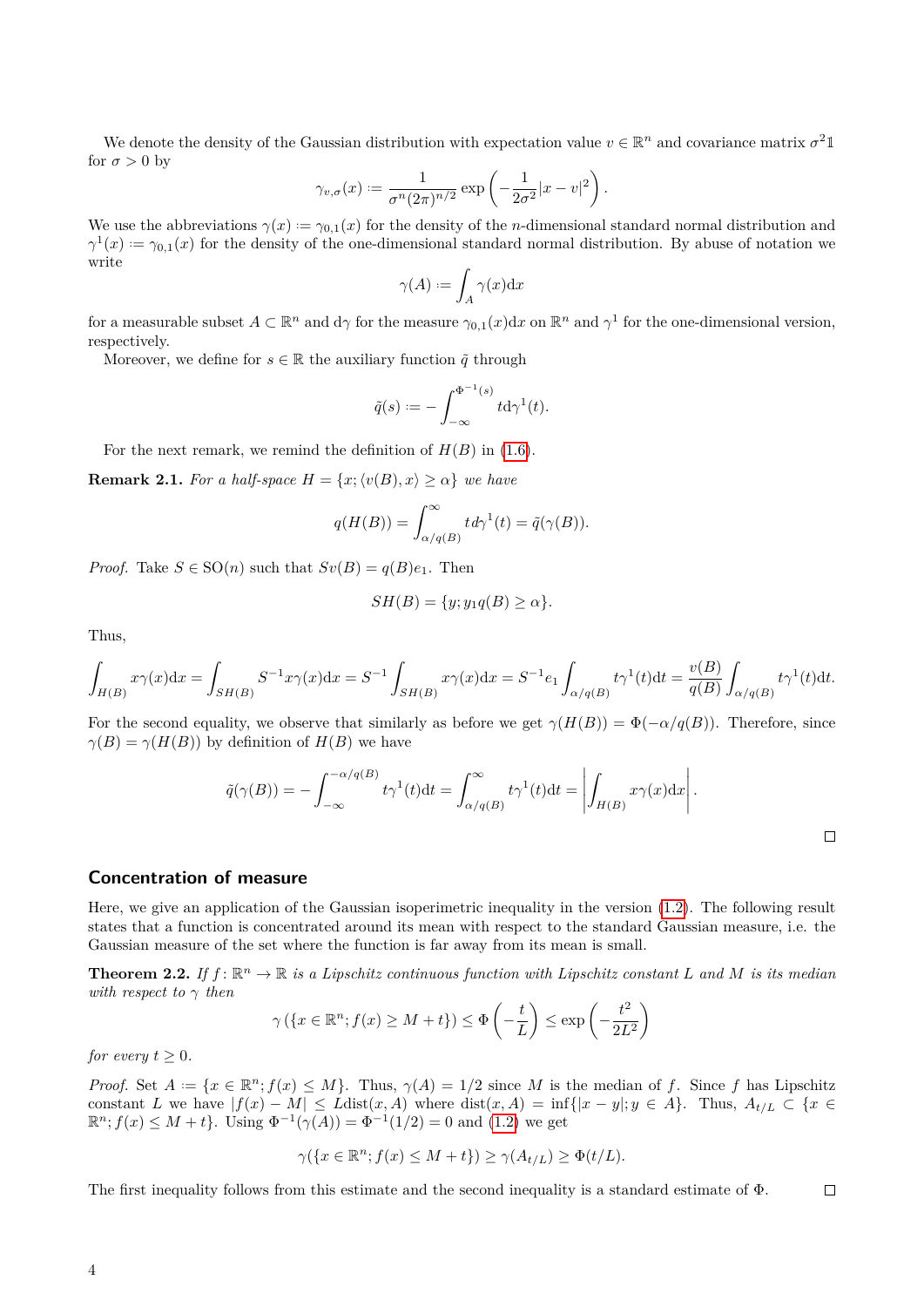We denote the density of the Gaussian distribution with expectation value  $v \in \mathbb{R}^n$  and covariance matrix  $\sigma^2 \mathbb{1}$ for  $\sigma > 0$  by

$$
\gamma_{v,\sigma}(x) := \frac{1}{\sigma^n (2\pi)^{n/2}} \exp\left(-\frac{1}{2\sigma^2}|x-v|^2\right).
$$

We use the abbreviations  $\gamma(x) := \gamma_{0,1}(x)$  for the density of the *n*-dimensional standard normal distribution and  $\gamma^1(x) := \gamma_{0,1}(x)$  for the density of the one-dimensional standard normal distribution. By abuse of notation we write

$$
\gamma(A) := \int_A \gamma(x) \mathrm{d}x
$$

for a measurable subset  $A \subset \mathbb{R}^n$  and  $d\gamma$  for the measure  $\gamma_{0,1}(x)dx$  on  $\mathbb{R}^n$  and  $\gamma^1$  for the one-dimensional version, respectively.

Moreover, we define for  $s \in \mathbb{R}$  the auxiliary function  $\tilde{q}$  through

$$
\tilde{q}(s) := -\int_{-\infty}^{\Phi^{-1}(s)} t \mathrm{d}\gamma^1(t).
$$

For the next remark, we remind the definition of  $H(B)$  in [\(1.6\)](#page-2-5).

<span id="page-3-1"></span>**Remark 2.1.** *For a half-space*  $H = \{x; \langle v(B), x \rangle \ge \alpha\}$  *we have* 

$$
q(H(B)) = \int_{\alpha/q(B)}^{\infty} t d\gamma^{1}(t) = \tilde{q}(\gamma(B)).
$$

*Proof.* Take  $S \in SO(n)$  such that  $Sv(B) = q(B)e_1$ . Then

$$
SH(B) = \{y; y_1q(B) \ge \alpha\}.
$$

Thus,

$$
\int_{H(B)} x\gamma(x)dx = \int_{SH(B)} S^{-1}x\gamma(x)dx = S^{-1}\int_{SH(B)} x\gamma(x)dx = S^{-1}e_1\int_{\alpha/q(B)} t\gamma^1(t)dt = \frac{v(B)}{q(B)}\int_{\alpha/q(B)} t\gamma^1(t)dt.
$$

For the second equality, we observe that similarly as before we get  $\gamma(H(B)) = \Phi(-\alpha/q(B))$ . Therefore, since  $\gamma(B) = \gamma(H(B))$  by definition of  $H(B)$  we have

$$
\tilde{q}(\gamma(B)) = -\int_{-\infty}^{-\alpha/q(B)} t\gamma^1(t)dt = \int_{\alpha/q(B)}^{\infty} t\gamma^1(t)dt = \left| \int_{H(B)} x\gamma(x)dx \right|.
$$

#### **Concentration of measure**

Here, we give an application of the Gaussian isoperimetric inequality in the version [\(1.2\)](#page-1-3). The following result states that a function is concentrated around its mean with respect to the standard Gaussian measure, i.e. the Gaussian measure of the set where the function is far away from its mean is small.

<span id="page-3-0"></span>**Theorem 2.2.** If  $f: \mathbb{R}^n \to \mathbb{R}$  is a Lipschitz continuous function with Lipschitz constant  $L$  and  $M$  is its median *with respect to γ then*

$$
\gamma\left(\left\{x \in \mathbb{R}^n; f(x) \ge M + t\right\}\right) \le \Phi\left(-\frac{t}{L}\right) \le \exp\left(-\frac{t^2}{2L^2}\right)
$$

*for every*  $t \geq 0$ *.* 

*Proof.* Set  $A := \{x \in \mathbb{R}^n; f(x) \leq M\}$ . Thus,  $\gamma(A) = 1/2$  since *M* is the median of *f*. Since *f* has Lipschitz constant *L* we have  $|f(x) - M| \le L \text{dist}(x, A)$  where  $\text{dist}(x, A) = \inf\{|x - y|; y \in A\}$ . Thus,  $A_{t/L} \subset \{x \in A\}$ .  $\mathbb{R}^n$ ;  $f(x) \leq M + t$ . Using  $\Phi^{-1}(\gamma(A)) = \Phi^{-1}(1/2) = 0$  and  $(1.2)$  we get

$$
\gamma(\{x \in \mathbb{R}^n; f(x) \le M + t\}) \ge \gamma(A_{t/L}) \ge \Phi(t/L).
$$

The first inequality follows from this estimate and the second inequality is a standard estimate of Φ.  $\Box$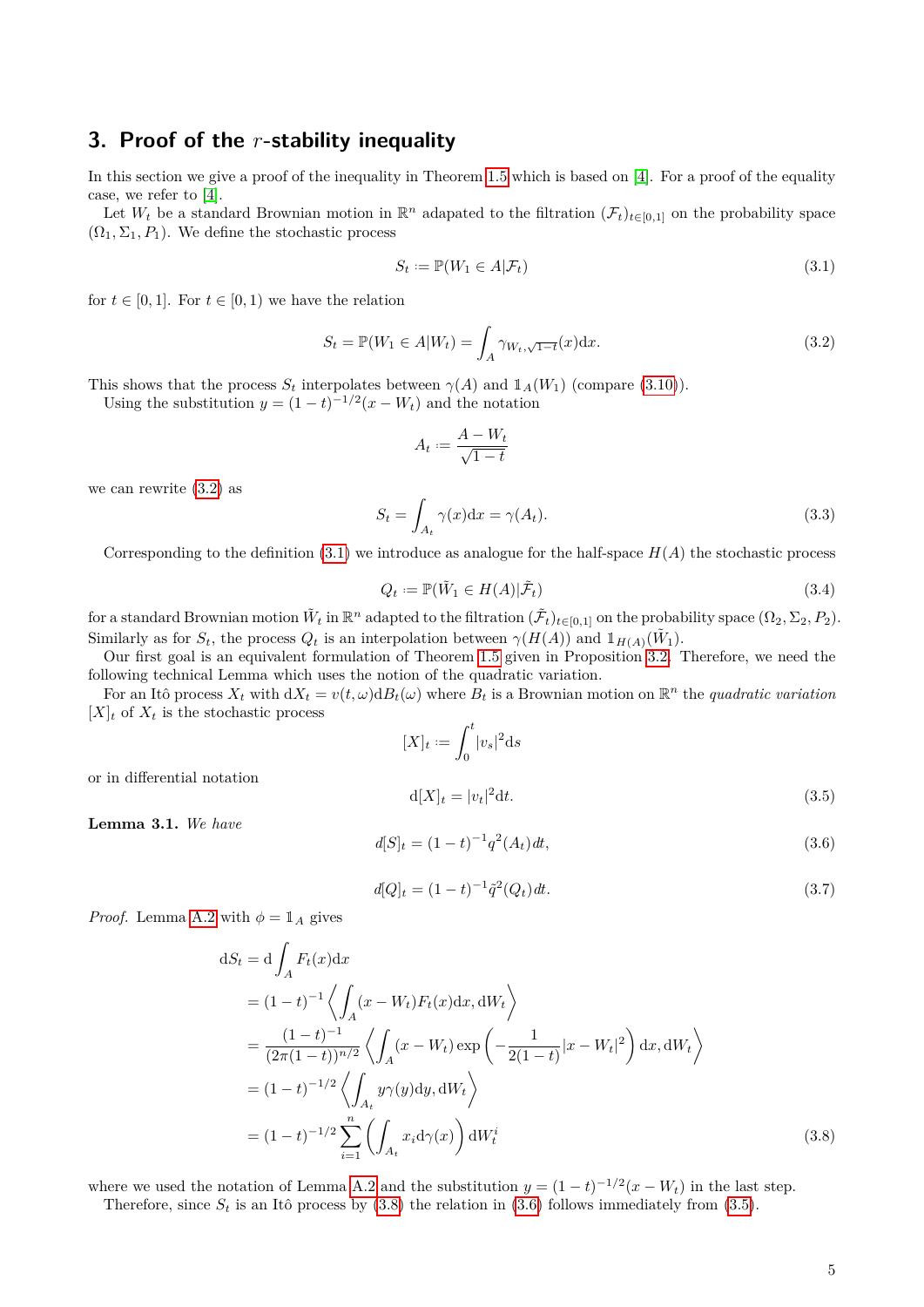## <span id="page-4-0"></span>**3. Proof of the** *r***-stability inequality**

In this section we give a proof of the inequality in Theorem [1.5](#page-2-4) which is based on [\[4\]](#page-16-6). For a proof of the equality case, we refer to [\[4\]](#page-16-6).

Let  $W_t$  be a standard Brownian motion in  $\mathbb{R}^n$  adapated to the filtration  $(\mathcal{F}_t)_{t\in[0,1]}$  on the probability space  $(\Omega_1, \Sigma_1, P_1)$ . We define the stochastic process

<span id="page-4-2"></span><span id="page-4-1"></span>
$$
S_t := \mathbb{P}(W_1 \in A | \mathcal{F}_t)
$$
\n
$$
(3.1)
$$

for  $t \in [0, 1]$ . For  $t \in [0, 1)$  we have the relation

$$
S_t = \mathbb{P}(W_1 \in A | W_t) = \int_A \gamma_{W_t, \sqrt{1-t}}(x) \mathrm{d}x. \tag{3.2}
$$

This shows that the process  $S_t$  interpolates between  $\gamma(A)$  and  $\mathbb{1}_A(W_1)$  (compare [\(3.10\)](#page-6-0)).

Using the substitution  $y = (1 - t)^{-1/2}(x - W_t)$  and the notation

$$
A_t := \frac{A - W_t}{\sqrt{1 - t}}
$$

we can rewrite [\(3.2\)](#page-4-1) as

<span id="page-4-6"></span>
$$
S_t = \int_{A_t} \gamma(x) dx = \gamma(A_t). \tag{3.3}
$$

<span id="page-4-7"></span>Corresponding to the definition  $(3.1)$  we introduce as analogue for the half-space  $H(A)$  the stochastic process

$$
Q_t := \mathbb{P}(\tilde{W}_1 \in H(A)|\tilde{\mathcal{F}}_t)
$$
\n(3.4)

 $\text{for a standard Brownian motion } \tilde{W}_t \text{ in } \mathbb{R}^n \text{ adapted to the filtration } (\tilde{\mathcal{F}}_t)_{t \in [0,1]} \text{ on the probability space } (\Omega_2, \Sigma_2, P_2).$ Similarly as for  $S_t$ , the process  $Q_t$  is an interpolation between  $\gamma(H(A))$  and  $1_{H(A)}(\tilde{W}_1)$ .

Our first goal is an equivalent formulation of Theorem [1.5](#page-2-4) given in Proposition [3.2.](#page-5-0) Therefore, we need the following technical Lemma which uses the notion of the quadratic variation.

For an Itô process  $X_t$  with  $dX_t = v(t, \omega) dB_t(\omega)$  where  $B_t$  is a Brownian motion on  $\mathbb{R}^n$  the *quadratic variation*  $[X]_t$  of  $X_t$  is the stochastic process

$$
[X]_t := \int_0^t |v_s|^2 \mathrm{d} s
$$

or in differential notation

$$
\mathbf{d}[X]_t = |v_t|^2 \mathbf{d}t. \tag{3.5}
$$

<span id="page-4-8"></span>**Lemma 3.1.** *We have*

<span id="page-4-5"></span><span id="page-4-4"></span>
$$
d[S]_t = (1 - t)^{-1} q^2(A_t) dt,
$$
\n(3.6)

<span id="page-4-3"></span>
$$
d[Q]_t = (1-t)^{-1} \tilde{q}^2(Q_t) dt.
$$
\n(3.7)

*Proof.* Lemma [A.2](#page-13-1) with  $\phi = \mathbb{1}_A$  gives

$$
dS_t = d \int_A F_t(x) dx
$$
  
=  $(1-t)^{-1} \left\langle \int_A (x - W_t) F_t(x) dx, dW_t \right\rangle$   
=  $\frac{(1-t)^{-1}}{(2\pi(1-t))^{n/2}} \left\langle \int_A (x - W_t) \exp\left(-\frac{1}{2(1-t)}|x - W_t|^2\right) dx, dW_t \right\rangle$   
=  $(1-t)^{-1/2} \left\langle \int_{A_t} y \gamma(y) dy, dW_t \right\rangle$   
=  $(1-t)^{-1/2} \sum_{i=1}^n \left( \int_{A_t} x_i d\gamma(x) \right) dW_t^i$  (3.8)

where we used the notation of Lemma [A.2](#page-13-1) and the substitution  $y = (1 - t)^{-1/2}(x - W_t)$  in the last step.

Therefore, since  $S_t$  is an Itô process by  $(3.8)$  the relation in  $(3.6)$  follows immediately from  $(3.5)$ .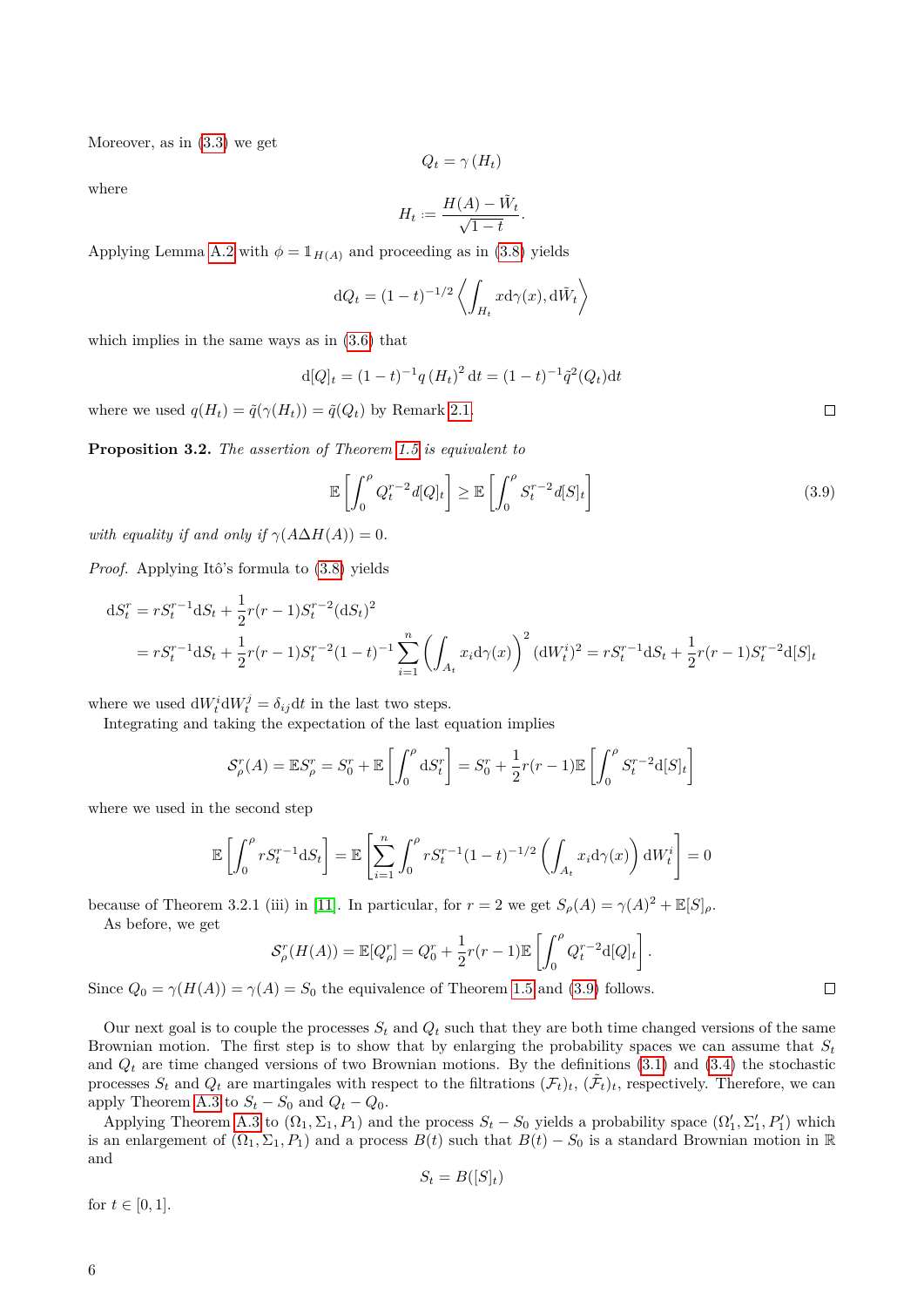Moreover, as in [\(3.3\)](#page-4-6) we get

$$
Q_t = \gamma(H_t)
$$

where

$$
H_t := \frac{H(A) - \tilde{W}_t}{\sqrt{1 - t}}.
$$

Applying Lemma [A.2](#page-13-1) with  $\phi = \mathbb{1}_{H(A)}$  and proceeding as in [\(3.8\)](#page-4-3) yields

$$
dQ_t = (1-t)^{-1/2} \left\langle \int_{H_t} x \mathrm{d}\gamma(x), \mathrm{d}\tilde{W}_t \right\rangle
$$

which implies in the same ways as in [\(3.6\)](#page-4-4) that

$$
d[Q]_t = (1-t)^{-1}q(H_t)^2 dt = (1-t)^{-1}\tilde{q}^2(Q_t)dt
$$

where we used  $q(H_t) = \tilde{q}(\gamma(H_t)) = \tilde{q}(Q_t)$  by Remark [2.1.](#page-3-1)

<span id="page-5-0"></span>**Proposition 3.2.** *The assertion of Theorem [1.5](#page-2-4) is equivalent to*

<span id="page-5-1"></span>
$$
\mathbb{E}\left[\int_0^\rho Q_t^{r-2}d[Q]_t\right] \ge \mathbb{E}\left[\int_0^\rho S_t^{r-2}d[S]_t\right]
$$
\n(3.9)

*with equality if and only if*  $\gamma(A\Delta H(A)) = 0$ *.* 

*Proof.* Applying Itô's formula to [\(3.8\)](#page-4-3) yields

$$
dS_t^r = rS_t^{r-1} dS_t + \frac{1}{2} r(r-1) S_t^{r-2} (dS_t)^2
$$
  
=  $rS_t^{r-1} dS_t + \frac{1}{2} r(r-1) S_t^{r-2} (1-t)^{-1} \sum_{i=1}^n \left( \int_{A_t} x_i d\gamma(x) \right)^2 (dW_t^i)^2 = rS_t^{r-1} dS_t + \frac{1}{2} r(r-1) S_t^{r-2} d[S]_t$ 

where we used  $dW_t^i dW_t^j = \delta_{ij} dt$  in the last two steps.

Integrating and taking the expectation of the last equation implies

$$
\mathcal{S}_{\rho}^r(A) = \mathbb{E}S_{\rho}^r = S_0^r + \mathbb{E}\left[\int_0^{\rho} dS_t^r\right] = S_0^r + \frac{1}{2}r(r-1)\mathbb{E}\left[\int_0^{\rho} S_t^{r-2}d[S]_t\right]
$$

where we used in the second step

$$
\mathbb{E}\left[\int_0^{\rho} rS_t^{r-1} \mathrm{d}S_t\right] = \mathbb{E}\left[\sum_{i=1}^n \int_0^{\rho} rS_t^{r-1} (1-t)^{-1/2} \left(\int_{A_t} x_i \mathrm{d} \gamma(x)\right) \mathrm{d}W_t^i\right] = 0
$$

because of Theorem 3.2.1 (iii) in [\[11\]](#page-16-7). In particular, for  $r = 2$  we get  $S_\rho(A) = \gamma(A)^2 + \mathbb{E}[S]_\rho$ .

As before, we get

$$
\mathcal{S}_{\rho}^r(H(A)) = \mathbb{E}[Q_{\rho}^r] = Q_0^r + \frac{1}{2}r(r-1)\mathbb{E}\left[\int_0^{\rho} Q_t^{r-2} d[Q]_t\right].
$$

Since 
$$
Q_0 = \gamma(H(A)) = \gamma(A) = S_0
$$
 the equivalence of Theorem 1.5 and (3.9) follows.

Our next goal is to couple the processes  $S_t$  and  $Q_t$  such that they are both time changed versions of the same Brownian motion. The first step is to show that by enlarging the probability spaces we can assume that  $S_t$ and  $Q_t$  are time changed versions of two Brownian motions. By the definitions  $(3.1)$  and  $(3.4)$  the stochastic processes  $S_t$  and  $Q_t$  are martingales with respect to the filtrations  $(\mathcal{F}_t)_t$ ,  $(\tilde{\mathcal{F}}_t)_t$ , respectively. Therefore, we can apply Theorem [A.3](#page-14-0) to  $S_t - S_0$  and  $Q_t - Q_0$ .

Applying Theorem [A.3](#page-14-0) to  $(\Omega_1, \Sigma_1, P_1)$  and the process  $S_t - S_0$  yields a probability space  $(\Omega'_1, \Sigma'_1, P'_1)$  which is an enlargement of  $(\Omega_1, \Sigma_1, P_1)$  and a process  $B(t)$  such that  $B(t) - S_0$  is a standard Brownian motion in R and

$$
S_t = B([S]_t)
$$

for  $t \in [0, 1]$ .

 $\Box$ 

 $\Box$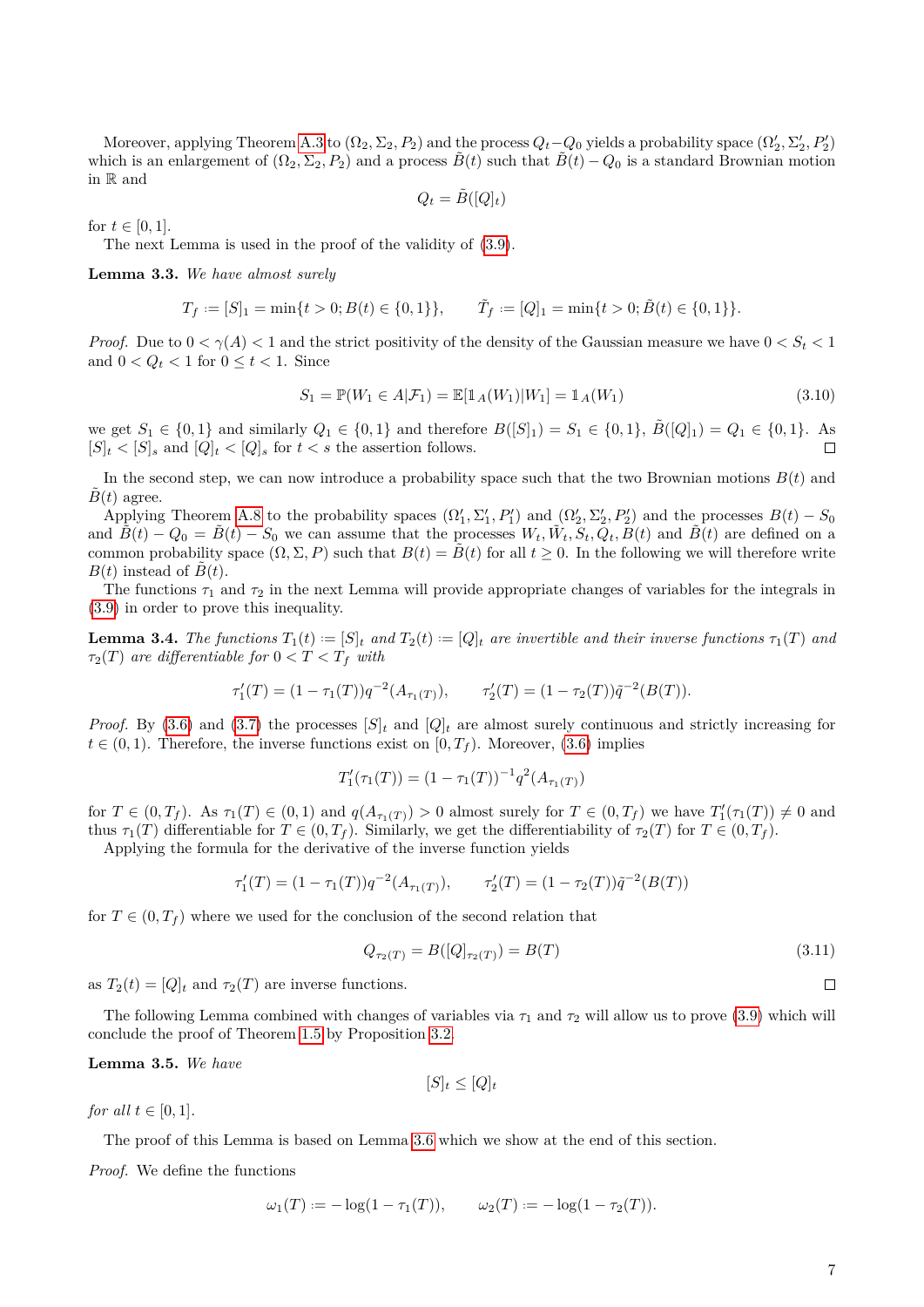Moreover, applying Theorem [A.3](#page-14-0) to  $(\Omega_2, \Sigma_2, P_2)$  and the process  $Q_t - Q_0$  yields a probability space  $(\Omega'_2, \Sigma'_2, P'_2)$ which is an enlargement of  $(\Omega_2, \Sigma_2, P_2)$  and a process  $\tilde{B}(t)$  such that  $\tilde{B}(t) - Q_0$  is a standard Brownian motion in R and

$$
Q_t = \tilde{B}([Q]_t)
$$

for  $t \in [0, 1]$ .

The next Lemma is used in the proof of the validity of [\(3.9\)](#page-5-1).

<span id="page-6-4"></span>**Lemma 3.3.** *We have almost surely*

$$
T_f := [S]_1 = \min\{t > 0; B(t) \in \{0, 1\}\}, \qquad \tilde{T}_f := [Q]_1 = \min\{t > 0; \tilde{B}(t) \in \{0, 1\}\}.
$$

*Proof.* Due to  $0 < \gamma(A) < 1$  and the strict positivity of the density of the Gaussian measure we have  $0 < S_t < 1$ and  $0 < Q_t < 1$  for  $0 \le t < 1$ . Since

<span id="page-6-0"></span>
$$
S_1 = \mathbb{P}(W_1 \in A | \mathcal{F}_1) = \mathbb{E}[\mathbb{1}_A(W_1)|W_1] = \mathbb{1}_A(W_1)
$$
\n(3.10)

we get  $S_1 \in \{0,1\}$  and similarly  $Q_1 \in \{0,1\}$  and therefore  $B([S]_1) = S_1 \in \{0,1\}$ ,  $\tilde{B}([Q]_1) = Q_1 \in \{0,1\}$ . As  $[S]_t < [S]_s$  and  $[Q]_t < [Q]_s$  for  $t < s$  the assertion follows.  $\Box$ 

In the second step, we can now introduce a probability space such that the two Brownian motions  $B(t)$  and  $B(t)$  agree.

Applying Theorem [A.8](#page-15-0) to the probability spaces  $(\Omega'_1, \Sigma'_1, P'_1)$  and  $(\Omega'_2, \Sigma'_2, P'_2)$  and the processes  $B(t) - S_0$ and  $\tilde{B}(t) - Q_0 = \tilde{B}(t) - S_0$  we can assume that the processes  $W_t, \tilde{W}_t, S_t, Q_t, B(t)$  and  $\tilde{B}(t)$  are defined on a common probability space  $(\Omega, \Sigma, P)$  such that  $B(t) = \tilde{B}(t)$  for all  $t \geq 0$ . In the following we will therefore write  $B(t)$  instead of  $\tilde{B}(t)$ .

The functions  $\tau_1$  and  $\tau_2$  in the next Lemma will provide appropriate changes of variables for the integrals in [\(3.9\)](#page-5-1) in order to prove this inequality.

<span id="page-6-1"></span>**Lemma 3.4.** The functions  $T_1(t) := [S]_t$  and  $T_2(t) := [Q]_t$  are invertible and their inverse functions  $\tau_1(T)$  and  $\tau_2(T)$  *are differentiable for*  $0 < T < T_f$  *with* 

$$
\tau_1'(T) = (1 - \tau_1(T))q^{-2}(A_{\tau_1(T)}), \qquad \tau_2'(T) = (1 - \tau_2(T))\tilde{q}^{-2}(B(T)).
$$

*Proof.* By [\(3.6\)](#page-4-4) and [\(3.7\)](#page-4-8) the processes  $[S]_t$  and  $[Q]_t$  are almost surely continuous and strictly increasing for  $t \in (0,1)$ . Therefore, the inverse functions exist on  $[0,T_f)$ . Moreover, [\(3.6\)](#page-4-4) implies

$$
T'_{1}(\tau_{1}(T)) = (1 - \tau_{1}(T))^{-1} q^{2}(A_{\tau_{1}(T)})
$$

for  $T \in (0, T_f)$ . As  $\tau_1(T) \in (0, 1)$  and  $q(A_{\tau_1(T)}) > 0$  almost surely for  $T \in (0, T_f)$  we have  $T'_1(\tau_1(T)) \neq 0$  and thus  $\tau_1(T)$  differentiable for  $T \in (0, T_f)$ . Similarly, we get the differentiability of  $\tau_2(T)$  for  $T \in (0, T_f)$ .

Applying the formula for the derivative of the inverse function yields

$$
\tau_1'(T) = (1 - \tau_1(T))q^{-2}(A_{\tau_1(T)}), \qquad \tau_2'(T) = (1 - \tau_2(T))\tilde{q}^{-2}(B(T))
$$

for  $T \in (0, T_f)$  where we used for the conclusion of the second relation that

$$
Q_{\tau_2(T)} = B([Q]_{\tau_2(T)}) = B(T) \tag{3.11}
$$

as  $T_2(t) = [Q]_t$  and  $\tau_2(T)$  are inverse functions.

The following Lemma combined with changes of variables via  $\tau_1$  and  $\tau_2$  will allow us to prove [\(3.9\)](#page-5-1) which will conclude the proof of Theorem [1.5](#page-2-4) by Proposition [3.2.](#page-5-0)

<span id="page-6-2"></span>**Lemma 3.5.** *We have*

$$
[S]_t \le [Q]_t
$$

*for all*  $t \in [0, 1]$ *.* 

The proof of this Lemma is based on Lemma [3.6](#page-7-0) which we show at the end of this section.

*Proof.* We define the functions

$$
\omega_1(T) := -\log(1 - \tau_1(T)), \qquad \omega_2(T) := -\log(1 - \tau_2(T)).
$$

<span id="page-6-3"></span> $\Box$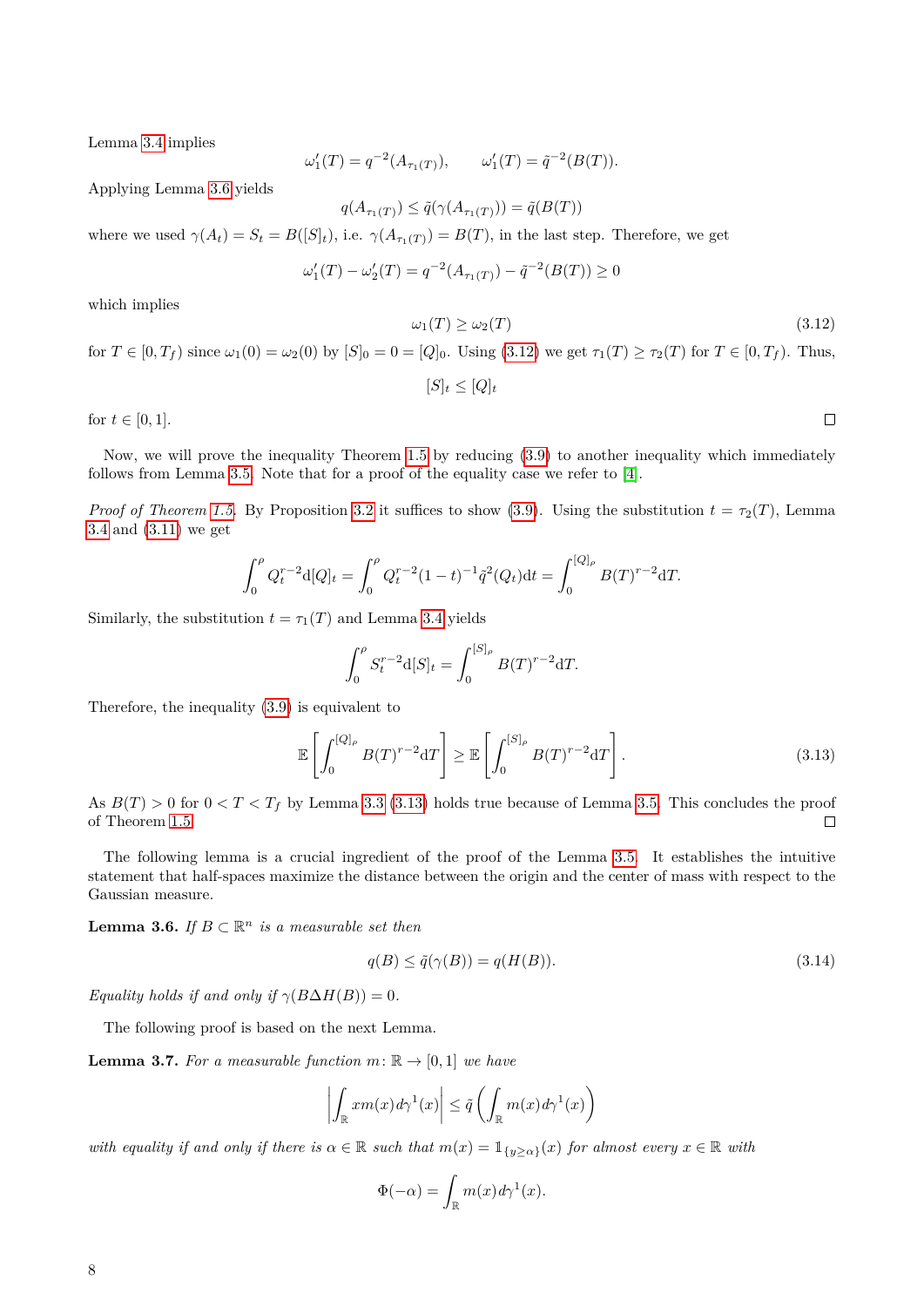Lemma [3.4](#page-6-1) implies

$$
\omega'_1(T) = q^{-2}(A_{\tau_1(T)}), \qquad \omega'_1(T) = \tilde{q}^{-2}(B(T)).
$$

Applying Lemma [3.6](#page-7-0) yields

$$
q(A_{\tau_1(T)}) \leq \tilde{q}(\gamma(A_{\tau_1(T)})) = \tilde{q}(B(T))
$$

where we used  $\gamma(A_t) = S_t = B([S]_t)$ , i.e.  $\gamma(A_{\tau_1(T)}) = B(T)$ , in the last step. Therefore, we get

$$
\omega_1'(T) - \omega_2'(T) = q^{-2}(A_{\tau_1(T)}) - \tilde{q}^{-2}(B(T)) \ge 0
$$

<span id="page-7-1"></span>which implies

$$
\omega_1(T) \ge \omega_2(T) \tag{3.12}
$$

 $\Box$ 

for  $T \in [0, T_f)$  since  $\omega_1(0) = \omega_2(0)$  by  $[S]_0 = 0 = [Q]_0$ . Using [\(3.12\)](#page-7-1) we get  $\tau_1(T) \ge \tau_2(T)$  for  $T \in [0, T_f)$ . Thus,

 $[S]_t \leq [Q]_t$ 

for  $t \in [0, 1]$ .

Now, we will prove the inequality Theorem [1.5](#page-2-4) by reducing [\(3.9\)](#page-5-1) to another inequality which immediately follows from Lemma [3.5.](#page-6-2) Note that for a proof of the equality case we refer to [\[4\]](#page-16-6).

*Proof of Theorem [1.5.](#page-2-4)* By Proposition [3.2](#page-5-0) it suffices to show [\(3.9\)](#page-5-1). Using the substitution  $t = \tau_2(T)$ , Lemma [3.4](#page-6-1) and [\(3.11\)](#page-6-3) we get

$$
\int_0^{\rho} Q_t^{r-2} d[Q]_t = \int_0^{\rho} Q_t^{r-2} (1-t)^{-1} \tilde{q}^2(Q_t) dt = \int_0^{[Q]_{\rho}} B(T)^{r-2} dT.
$$

Similarly, the substitution  $t = \tau_1(T)$  and Lemma [3.4](#page-6-1) yields

<span id="page-7-2"></span>
$$
\int_0^{\rho} S_t^{r-2} d[S]_t = \int_0^{[S]_{\rho}} B(T)^{r-2} dT.
$$

Therefore, the inequality [\(3.9\)](#page-5-1) is equivalent to

$$
\mathbb{E}\left[\int_0^{[Q]_\rho} B(T)^{r-2} dT\right] \ge \mathbb{E}\left[\int_0^{[S]_\rho} B(T)^{r-2} dT\right].\tag{3.13}
$$

As  $B(T) > 0$  for  $0 < T < T_f$  by Lemma [3.3](#page-6-4) [\(3.13\)](#page-7-2) holds true because of Lemma [3.5.](#page-6-2) This concludes the proof of Theorem [1.5.](#page-2-4)  $\Box$ 

The following lemma is a crucial ingredient of the proof of the Lemma [3.5.](#page-6-2) It establishes the intuitive statement that half-spaces maximize the distance between the origin and the center of mass with respect to the Gaussian measure.

<span id="page-7-0"></span>**Lemma 3.6.** *If*  $B \subset \mathbb{R}^n$  *is a measurable set then* 

<span id="page-7-4"></span>
$$
q(B) \le \tilde{q}(\gamma(B)) = q(H(B)).\tag{3.14}
$$

*Equality holds if and only if*  $\gamma(B\Delta H(B)) = 0$ *.* 

The following proof is based on the next Lemma.

<span id="page-7-3"></span>**Lemma 3.7.** For a measurable function  $m: \mathbb{R} \to [0, 1]$  we have

$$
\left| \int_{\mathbb{R}} x m(x) d\gamma^1(x) \right| \leq \tilde{q} \left( \int_{\mathbb{R}} m(x) d\gamma^1(x) \right)
$$

*with equality if and only if there is*  $\alpha \in \mathbb{R}$  *such that*  $m(x) = 1_{\{y > \alpha\}}(x)$  *for almost every*  $x \in \mathbb{R}$  *with* 

$$
\Phi(-\alpha) = \int_{\mathbb{R}} m(x) d\gamma^1(x).
$$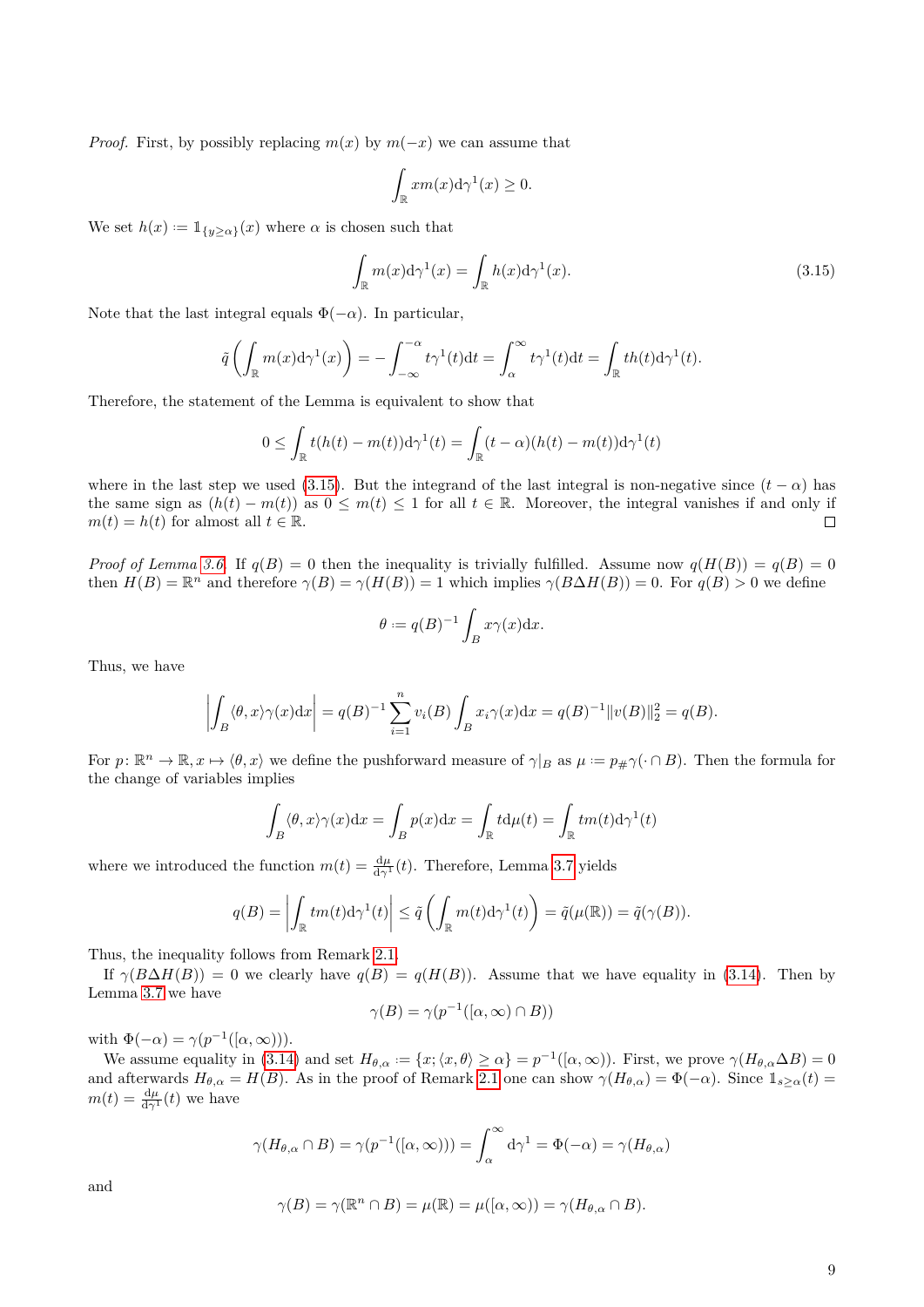*Proof.* First, by possibly replacing  $m(x)$  by  $m(-x)$  we can assume that

<span id="page-8-0"></span>
$$
\int_{\mathbb{R}} x m(x) \mathrm{d} \gamma^1(x) \ge 0.
$$

We set  $h(x) := \mathbb{1}_{\{y \ge \alpha\}}(x)$  where  $\alpha$  is chosen such that

$$
\int_{\mathbb{R}} m(x) d\gamma^1(x) = \int_{\mathbb{R}} h(x) d\gamma^1(x).
$$
\n(3.15)

Note that the last integral equals  $\Phi(-\alpha)$ . In particular,

$$
\tilde{q}\left(\int_{\mathbb{R}} m(x) d\gamma^1(x)\right) = -\int_{-\infty}^{-\alpha} t\gamma^1(t)dt = \int_{\alpha}^{\infty} t\gamma^1(t)dt = \int_{\mathbb{R}} th(t)d\gamma^1(t).
$$

Therefore, the statement of the Lemma is equivalent to show that

$$
0 \leq \int_{\mathbb{R}} t(h(t) - m(t)) \mathrm{d}\gamma^{1}(t) = \int_{\mathbb{R}} (t - \alpha)(h(t) - m(t)) \mathrm{d}\gamma^{1}(t)
$$

where in the last step we used [\(3.15\)](#page-8-0). But the integrand of the last integral is non-negative since  $(t - \alpha)$  has the same sign as  $(h(t) - m(t))$  as  $0 \le m(t) \le 1$  for all  $t \in \mathbb{R}$ . Moreover, the integral vanishes if and only if  $m(t) = h(t)$  for almost all  $t \in \mathbb{R}$ .  $\Box$ 

*Proof of Lemma [3.6.](#page-7-0)* If  $q(B) = 0$  then the inequality is trivially fulfilled. Assume now  $q(H(B)) = q(B) = 0$ then  $H(B) = \mathbb{R}^n$  and therefore  $\gamma(B) = \gamma(H(B)) = 1$  which implies  $\gamma(B \Delta H(B)) = 0$ . For  $q(B) > 0$  we define

$$
\theta := q(B)^{-1} \int_B x \gamma(x) \mathrm{d}x.
$$

Thus, we have

$$
\left| \int_B \langle \theta, x \rangle \gamma(x) dx \right| = q(B)^{-1} \sum_{i=1}^n v_i(B) \int_B x_i \gamma(x) dx = q(B)^{-1} ||v(B)||_2^2 = q(B).
$$

For  $p: \mathbb{R}^n \to \mathbb{R}, x \mapsto \langle \theta, x \rangle$  we define the pushforward measure of  $\gamma|_B$  as  $\mu := p_{\#} \gamma(\cdot \cap B)$ . Then the formula for the change of variables implies

$$
\int_B \langle \theta, x \rangle \gamma(x) dx = \int_B p(x) dx = \int_{\mathbb{R}} t d\mu(t) = \int_{\mathbb{R}} t m(t) d\gamma^1(t)
$$

where we introduced the function  $m(t) = \frac{d\mu}{d\gamma^1}(t)$ . Therefore, Lemma [3.7](#page-7-3) yields

$$
q(B) = \left| \int_{\mathbb{R}} t m(t) d\gamma^{1}(t) \right| \leq \tilde{q} \left( \int_{\mathbb{R}} m(t) d\gamma^{1}(t) \right) = \tilde{q}(\mu(\mathbb{R})) = \tilde{q}(\gamma(B)).
$$

Thus, the inequality follows from Remark [2.1.](#page-3-1)

If  $\gamma(B\Delta H(B)) = 0$  we clearly have  $q(B) = q(H(B))$ . Assume that we have equality in [\(3.14\)](#page-7-4). Then by Lemma [3.7](#page-7-3) we have

$$
\gamma(B) = \gamma(p^{-1}([\alpha, \infty) \cap B))
$$

with  $\Phi(-\alpha) = \gamma(p^{-1}([\alpha, \infty))).$ 

We assume equality in [\(3.14\)](#page-7-4) and set  $H_{\theta,\alpha} := \{x; \langle x, \theta \rangle \geq \alpha\} = p^{-1}([\alpha, \infty))$ . First, we prove  $\gamma(H_{\theta,\alpha} \Delta B) = 0$ and afterwards  $H_{\theta,\alpha} = H(B)$ . As in the proof of Remark [2.1](#page-3-1) one can show  $\gamma(H_{\theta,\alpha}) = \Phi(-\alpha)$ . Since  $\mathbb{1}_{s \geq \alpha}(t) =$  $m(t) = \frac{d\mu}{d\gamma^1}(t)$  we have

$$
\gamma(H_{\theta,\alpha} \cap B) = \gamma(p^{-1}([\alpha,\infty))) = \int_{\alpha}^{\infty} d\gamma^1 = \Phi(-\alpha) = \gamma(H_{\theta,\alpha})
$$

and

$$
\gamma(B) = \gamma(\mathbb{R}^n \cap B) = \mu(\mathbb{R}) = \mu((\alpha, \infty)) = \gamma(H_{\theta, \alpha} \cap B).
$$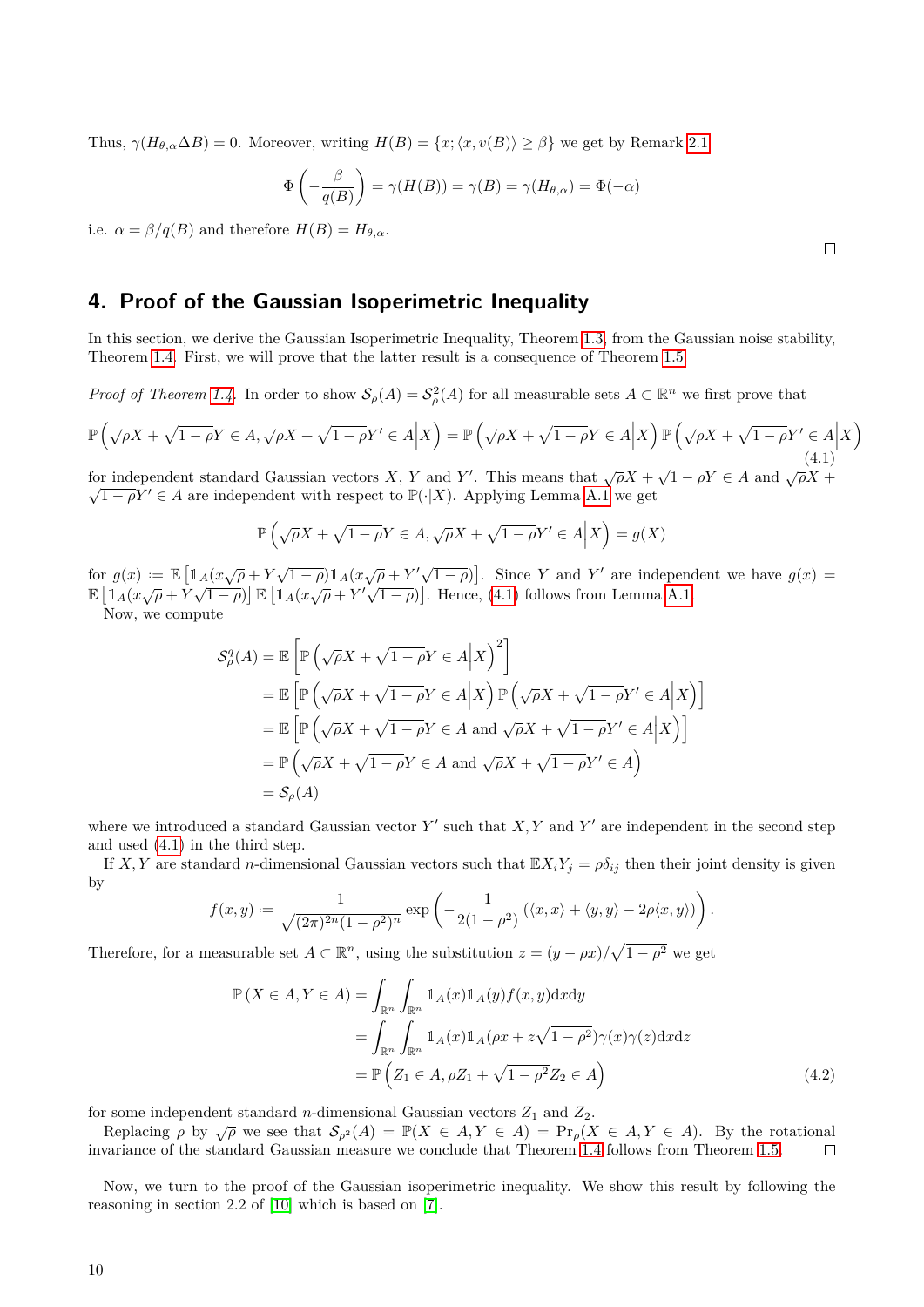Thus,  $\gamma(H_{\theta,\alpha}\Delta B) = 0$ . Moreover, writing  $H(B) = \{x; \langle x, v(B) \rangle \ge \beta\}$  we get by Remark [2.1](#page-3-1)

$$
\Phi\left(-\frac{\beta}{q(B)}\right) = \gamma(H(B)) = \gamma(B) = \gamma(H_{\theta,\alpha}) = \Phi(-\alpha)
$$

i.e.  $\alpha = \beta/q(B)$  and therefore  $H(B) = H_{\theta,\alpha}$ .

# <span id="page-9-0"></span>**4. Proof of the Gaussian Isoperimetric Inequality**

In this section, we derive the Gaussian Isoperimetric Inequality, Theorem [1.3,](#page-1-1) from the Gaussian noise stability, Theorem [1.4.](#page-2-2) First, we will prove that the latter result is a consequence of Theorem [1.5.](#page-2-4)

*Proof of Theorem [1.4.](#page-2-2)* In order to show  $S_\rho(A) = S_\rho^2(A)$  for all measurable sets  $A \subset \mathbb{R}^n$  we first prove that

$$
\mathbb{P}\left(\sqrt{\rho}X + \sqrt{1-\rho}Y \in A, \sqrt{\rho}X + \sqrt{1-\rho}Y' \in A\bigg|X\right) = \mathbb{P}\left(\sqrt{\rho}X + \sqrt{1-\rho}Y \in A\bigg|X\right)\mathbb{P}\left(\sqrt{\rho}X + \sqrt{1-\rho}Y' \in A\bigg|X\right) \tag{4.1}
$$

for independent standard Gaussian vectors *X*, *Y* and *Y'*. This means that  $\sqrt{\rho}X + \sqrt{1-\rho}Y \in A$  and  $\sqrt{\rho}X + \sqrt{1-\rho}Y = A$  $\sqrt{1-\rho}Y' \in A$  are independent with respect to  $\mathbb{P}(\cdot|X)$ . Applying Lemma [A.1](#page-13-2) we get

$$
\mathbb{P}\left(\sqrt{\rho}X + \sqrt{1-\rho}Y \in A, \sqrt{\rho}X + \sqrt{1-\rho}Y' \in A\Big|X\right) = g(X)
$$

for  $g(x) := \mathbb{E} \left[ \mathbb{1}_A (x \sqrt{\rho} + Y \sqrt{1-\rho}) \mathbb{1}_A (x \sqrt{\rho} + Y' \sqrt{1-\rho}) \right]$ . Since *Y* and *Y'* are independent we have  $g(x) =$  $\mathbb{E} \left[ \mathbb{1}_A(x\sqrt{\rho} + Y\sqrt{1-\rho}) \right] \mathbb{E} \left[ \mathbb{1}_A(x\sqrt{\rho} + Y'\sqrt{1-\rho}) \right]$ . Hence, [\(4.1\)](#page-9-1) follows from Lemma [A.1.](#page-13-2)

Now, we compute

$$
\mathcal{S}_{\rho}^{q}(A) = \mathbb{E}\left[\mathbb{P}\left(\sqrt{\rho}X + \sqrt{1-\rho}Y \in A \middle| X\right)^{2}\right]
$$
  
\n
$$
= \mathbb{E}\left[\mathbb{P}\left(\sqrt{\rho}X + \sqrt{1-\rho}Y \in A \middle| X\right)\mathbb{P}\left(\sqrt{\rho}X + \sqrt{1-\rho}Y' \in A \middle| X\right)\right]
$$
  
\n
$$
= \mathbb{E}\left[\mathbb{P}\left(\sqrt{\rho}X + \sqrt{1-\rho}Y \in A \text{ and } \sqrt{\rho}X + \sqrt{1-\rho}Y' \in A \middle| X\right)\right]
$$
  
\n
$$
= \mathbb{P}\left(\sqrt{\rho}X + \sqrt{1-\rho}Y \in A \text{ and } \sqrt{\rho}X + \sqrt{1-\rho}Y' \in A\right)
$$
  
\n
$$
= \mathcal{S}_{\rho}(A)
$$

where we introduced a standard Gaussian vector  $Y'$  such that  $X, Y$  and  $Y'$  are independent in the second step and used [\(4.1\)](#page-9-1) in the third step.

If *X*, *Y* are standard *n*-dimensional Gaussian vectors such that  $\mathbb{E}X_iY_j = \rho \delta_{ij}$  then their joint density is given by

$$
f(x,y) := \frac{1}{\sqrt{(2\pi)^{2n}(1-\rho^2)^n}} \exp\left(-\frac{1}{2(1-\rho^2)}\left(\langle x,x\rangle + \langle y,y\rangle - 2\rho\langle x,y\rangle\right)\right).
$$

Therefore, for a measurable set  $A \subset \mathbb{R}^n$ , using the substitution  $z = (y - \rho x) / \sqrt{1 - \rho^2}$  we get

<span id="page-9-2"></span>
$$
\mathbb{P}\left(X \in A, Y \in A\right) = \int_{\mathbb{R}^n} \int_{\mathbb{R}^n} \mathbb{1}_A(x) \mathbb{1}_A(y) f(x, y) \, dx \, dy
$$
\n
$$
= \int_{\mathbb{R}^n} \int_{\mathbb{R}^n} \mathbb{1}_A(x) \mathbb{1}_A(\rho x + z\sqrt{1 - \rho^2}) \gamma(x) \gamma(z) \, dx \, dz
$$
\n
$$
= \mathbb{P}\left(Z_1 \in A, \rho Z_1 + \sqrt{1 - \rho^2} Z_2 \in A\right) \tag{4.2}
$$

for some independent standard *n*-dimensional Gaussian vectors  $Z_1$  and  $Z_2$ .

Replacing  $\rho$  by  $\sqrt{\rho}$  we see that  $\mathcal{S}_{\rho^2}(A) = \mathbb{P}(X \in A, Y \in A) = \Pr_{\rho}(X \in A, Y \in A)$ . By the rotational invariance of the standard Gaussian measure we conclude that Theorem [1.4](#page-2-2) follows from Theorem [1.5.](#page-2-4)  $\Box$ 

Now, we turn to the proof of the Gaussian isoperimetric inequality. We show this result by following the reasoning in section 2.2 of [\[10\]](#page-16-5) which is based on [\[7\]](#page-16-3).

<span id="page-9-1"></span>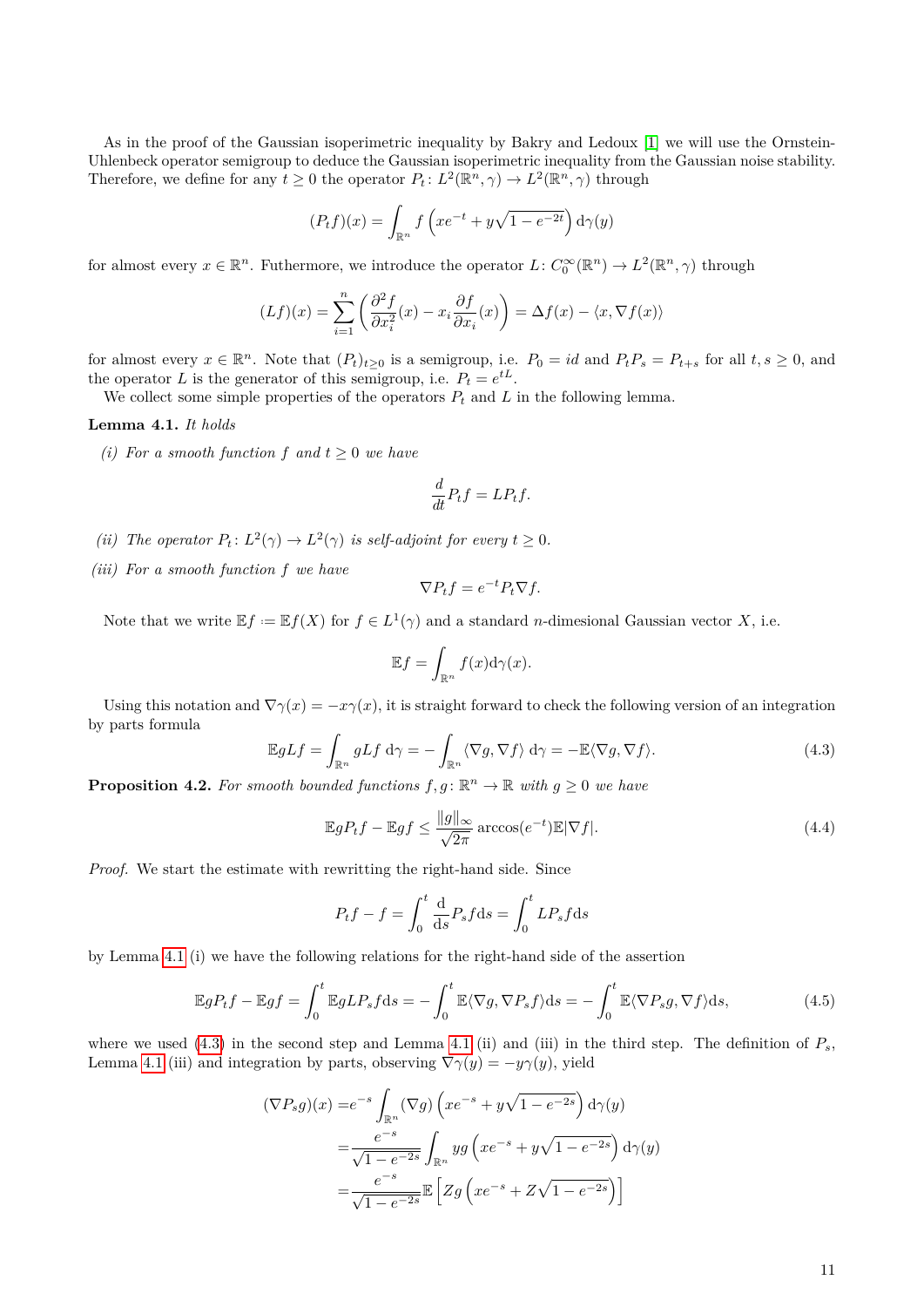As in the proof of the Gaussian isoperimetric inequality by Bakry and Ledoux [\[1\]](#page-16-8) we will use the Ornstein-Uhlenbeck operator semigroup to deduce the Gaussian isoperimetric inequality from the Gaussian noise stability. Therefore, we define for any  $t \geq 0$  the operator  $P_t: L^2(\mathbb{R}^n, \gamma) \to L^2(\mathbb{R}^n, \gamma)$  through

$$
(P_t f)(x) = \int_{\mathbb{R}^n} f\left(xe^{-t} + y\sqrt{1 - e^{-2t}}\right) d\gamma(y)
$$

for almost every  $x \in \mathbb{R}^n$ . Futhermore, we introduce the operator  $L: C_0^{\infty}(\mathbb{R}^n) \to L^2(\mathbb{R}^n, \gamma)$  through

$$
(Lf)(x) = \sum_{i=1}^{n} \left( \frac{\partial^2 f}{\partial x_i^2}(x) - x_i \frac{\partial f}{\partial x_i}(x) \right) = \Delta f(x) - \langle x, \nabla f(x) \rangle
$$

for almost every  $x \in \mathbb{R}^n$ . Note that  $(P_t)_{t \geq 0}$  is a semigroup, i.e.  $P_0 = id$  and  $P_t P_s = P_{t+s}$  for all  $t, s \geq 0$ , and the operator *L* is the generator of this semigroup, i.e.  $P_t = e^{tL}$ .

We collect some simple properties of the operators  $P_t$  and  $L$  in the following lemma.

<span id="page-10-0"></span>**Lemma 4.1.** *It holds*

*(i)* For a smooth function  $f$  and  $t > 0$  we have

$$
\frac{d}{dt}P_tf = LP_tf.
$$

- (*ii*) *The operator*  $P_t: L^2(\gamma) \to L^2(\gamma)$  *is self-adjoint for every*  $t \geq 0$ *.*
- *(iii) For a smooth function f we have*

$$
\nabla P_t f = e^{-t} P_t \nabla f.
$$

Note that we write  $\mathbb{E} f := \mathbb{E} f(X)$  for  $f \in L^1(\gamma)$  and a standard *n*-dimesional Gaussian vector *X*, i.e.

<span id="page-10-3"></span>
$$
\mathbb{E}f = \int_{\mathbb{R}^n} f(x) \mathrm{d}\gamma(x).
$$

Using this notation and  $\nabla \gamma(x) = -x\gamma(x)$ , it is straight forward to check the following version of an integration by parts formula

<span id="page-10-1"></span>
$$
\mathbb{E}gLf = \int_{\mathbb{R}^n} gLf \, d\gamma = -\int_{\mathbb{R}^n} \langle \nabla g, \nabla f \rangle \, d\gamma = -\mathbb{E} \langle \nabla g, \nabla f \rangle. \tag{4.3}
$$

<span id="page-10-4"></span>**Proposition 4.2.** For smooth bounded functions  $f, g: \mathbb{R}^n \to \mathbb{R}$  with  $g \geq 0$  we have

$$
\mathbb{E}gP_tf - \mathbb{E}gf \le \frac{\|g\|_{\infty}}{\sqrt{2\pi}} \arccos(e^{-t})\mathbb{E}|\nabla f|. \tag{4.4}
$$

*Proof.* We start the estimate with rewritting the right-hand side. Since

<span id="page-10-2"></span>
$$
P_t f - f = \int_0^t \frac{d}{ds} P_s f ds = \int_0^t L P_s f ds
$$

by Lemma [4.1](#page-10-0) (i) we have the following relations for the right-hand side of the assertion

$$
\mathbb{E}gP_tf - \mathbb{E}gf = \int_0^t \mathbb{E}gLP_s f \mathrm{d}s = -\int_0^t \mathbb{E}\langle \nabla g, \nabla P_s f \rangle \mathrm{d}s = -\int_0^t \mathbb{E}\langle \nabla P_s g, \nabla f \rangle \mathrm{d}s,\tag{4.5}
$$

where we used  $(4.3)$  in the second step and Lemma [4.1](#page-10-0) (ii) and (iii) in the third step. The definition of  $P_s$ , Lemma [4.1](#page-10-0) (iii) and integration by parts, observing  $\nabla \gamma(y) = -y\gamma(y)$ , yield

$$
(\nabla P_s g)(x) = e^{-s} \int_{\mathbb{R}^n} (\nabla g) \left( x e^{-s} + y \sqrt{1 - e^{-2s}} \right) d\gamma(y)
$$
  

$$
= \frac{e^{-s}}{\sqrt{1 - e^{-2s}}} \int_{\mathbb{R}^n} y g \left( x e^{-s} + y \sqrt{1 - e^{-2s}} \right) d\gamma(y)
$$
  

$$
= \frac{e^{-s}}{\sqrt{1 - e^{-2s}}} \mathbb{E} \left[ Z g \left( x e^{-s} + Z \sqrt{1 - e^{-2s}} \right) \right]
$$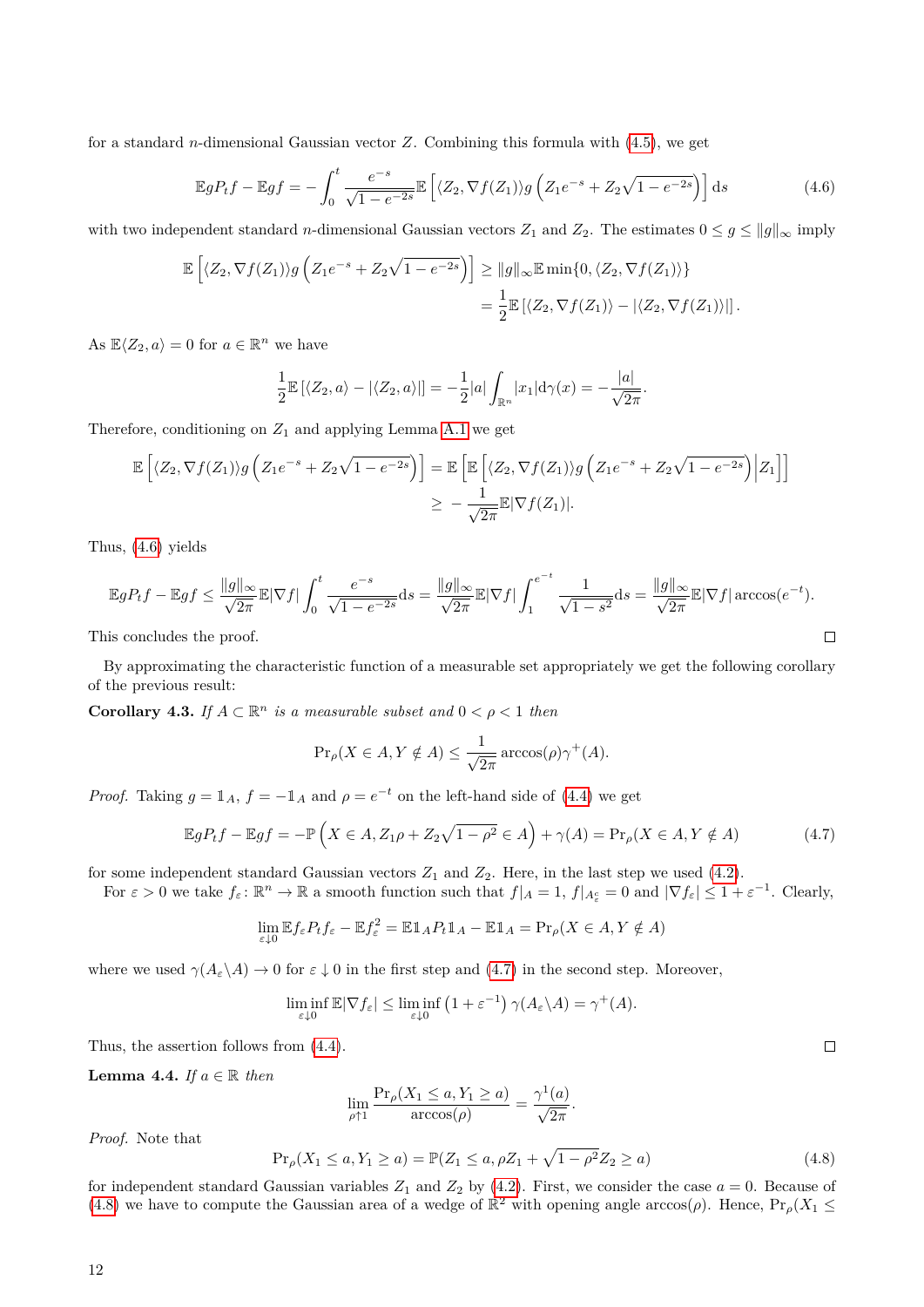for a standard *n*-dimensional Gaussian vector *Z*. Combining this formula with [\(4.5\)](#page-10-2), we get

$$
\mathbb{E}gP_t f - \mathbb{E}gf = -\int_0^t \frac{e^{-s}}{\sqrt{1 - e^{-2s}}} \mathbb{E}\left[ \langle Z_2, \nabla f(Z_1) \rangle g \left( Z_1 e^{-s} + Z_2 \sqrt{1 - e^{-2s}} \right) \right] ds \tag{4.6}
$$

<span id="page-11-0"></span>*.*

with two independent standard *n*-dimensional Gaussian vectors  $Z_1$  and  $Z_2$ . The estimates  $0 \leq g \leq ||g||_{\infty}$  imply

$$
\mathbb{E}\left[\langle Z_2, \nabla f(Z_1)\rangle g\left(Z_1 e^{-s} + Z_2 \sqrt{1 - e^{-2s}}\right)\right] \ge ||g||_{\infty} \mathbb{E} \min\{0, \langle Z_2, \nabla f(Z_1)\rangle\}
$$
  
= 
$$
\frac{1}{2} \mathbb{E}\left[\langle Z_2, \nabla f(Z_1)\rangle - |\langle Z_2, \nabla f(Z_1)\rangle|\right].
$$

As  $\mathbb{E}\langle Z_2, a \rangle = 0$  for  $a \in \mathbb{R}^n$  we have

$$
\frac{1}{2}\mathbb{E}\left[\langle Z_2, a\rangle - |\langle Z_2, a\rangle|\right] = -\frac{1}{2}|a| \int_{\mathbb{R}^n} |x_1| \mathrm{d}\gamma(x) = -\frac{|a|}{\sqrt{2\pi}}
$$

Therefore, conditioning on  $Z_1$  and applying Lemma [A.1](#page-13-2) we get

$$
\mathbb{E}\left[\langle Z_2, \nabla f(Z_1)\rangle g\left(Z_1e^{-s} + Z_2\sqrt{1-e^{-2s}}\right)\right] = \mathbb{E}\left[\mathbb{E}\left[\langle Z_2, \nabla f(Z_1)\rangle g\left(Z_1e^{-s} + Z_2\sqrt{1-e^{-2s}}\right)\Big|Z_1\right]\right]
$$
  

$$
\geq -\frac{1}{\sqrt{2\pi}}\mathbb{E}|\nabla f(Z_1)|.
$$

Thus, [\(4.6\)](#page-11-0) yields

$$
\mathbb{E}gP_tf - \mathbb{E}gf \le \frac{\|g\|_{\infty}}{\sqrt{2\pi}} \mathbb{E}|\nabla f| \int_0^t \frac{e^{-s}}{\sqrt{1 - e^{-2s}}} ds = \frac{\|g\|_{\infty}}{\sqrt{2\pi}} \mathbb{E}|\nabla f| \int_1^{e^{-t}} \frac{1}{\sqrt{1 - s^2}} ds = \frac{\|g\|_{\infty}}{\sqrt{2\pi}} \mathbb{E}|\nabla f| \arccos(e^{-t}).
$$
  
nis concludes the proof.

This concludes the proof.

By approximating the characteristic function of a measurable set appropriately we get the following corollary of the previous result:

<span id="page-11-4"></span>**Corollary 4.3.** *If*  $A \subset \mathbb{R}^n$  *is a measurable subset and*  $0 < \rho < 1$  *then* 

$$
\Pr_{\rho}(X \in A, Y \notin A) \le \frac{1}{\sqrt{2\pi}} \arccos(\rho)\gamma^+(A).
$$

*Proof.* Taking  $g = \mathbb{1}_A$ ,  $f = -\mathbb{1}_A$  and  $\rho = e^{-t}$  on the left-hand side of [\(4.4\)](#page-10-3) we get

$$
\mathbb{E}gP_tf - \mathbb{E}gf = -\mathbb{P}\left(X \in A, Z_1\rho + Z_2\sqrt{1-\rho^2} \in A\right) + \gamma(A) = \Pr_{\rho}(X \in A, Y \notin A)
$$
\n(4.7)

for some independent standard Gaussian vectors  $Z_1$  and  $Z_2$ . Here, in the last step we used [\(4.2\)](#page-9-2).

For  $\varepsilon > 0$  we take  $f_{\varepsilon} : \mathbb{R}^n \to \mathbb{R}$  a smooth function such that  $f|_A = 1$ ,  $f|_{A_{\varepsilon}^c} = 0$  and  $|\nabla f_{\varepsilon}| \leq 1 + \varepsilon^{-1}$ . Clearly,

$$
\lim_{\varepsilon \downarrow 0} \mathbb{E} f_{\varepsilon} P_t f_{\varepsilon} - \mathbb{E} f_{\varepsilon}^2 = \mathbb{E} \mathbb{1}_A P_t \mathbb{1}_A - \mathbb{E} \mathbb{1}_A = \Pr_{\rho}(X \in A, Y \notin A)
$$

where we used  $\gamma(A_{\varepsilon}\backslash A) \to 0$  for  $\varepsilon \downarrow 0$  in the first step and [\(4.7\)](#page-11-1) in the second step. Moreover,

$$
\liminf_{\varepsilon \downarrow 0} \mathbb{E} |\nabla f_{\varepsilon}| \le \liminf_{\varepsilon \downarrow 0} \left( 1 + \varepsilon^{-1} \right) \gamma(A_{\varepsilon} \backslash A) = \gamma^+(A).
$$

Thus, the assertion follows from [\(4.4\)](#page-10-3).

<span id="page-11-3"></span>**Lemma 4.4.** If 
$$
a \in \mathbb{R}
$$
 then

$$
\lim_{\rho \uparrow 1} \frac{\Pr_{\rho}(X_1 \le a, Y_1 \ge a)}{\arccos(\rho)} = \frac{\gamma^1(a)}{\sqrt{2\pi}}.
$$

*Proof.* Note that

<span id="page-11-2"></span>
$$
\Pr_{\rho}(X_1 \le a, Y_1 \ge a) = \mathbb{P}(Z_1 \le a, \rho Z_1 + \sqrt{1 - \rho^2} Z_2 \ge a)
$$
\n(4.8)

for independent standard Gaussian variables  $Z_1$  and  $Z_2$  by [\(4.2\)](#page-9-2). First, we consider the case  $a = 0$ . Because of [\(4.8\)](#page-11-2) we have to compute the Gaussian area of a wedge of  $\mathbb{R}^2$  with opening angle arccos( $\rho$ ). Hence,  $Pr_{\rho}(X_1 \leq$ 

<span id="page-11-1"></span> $\Box$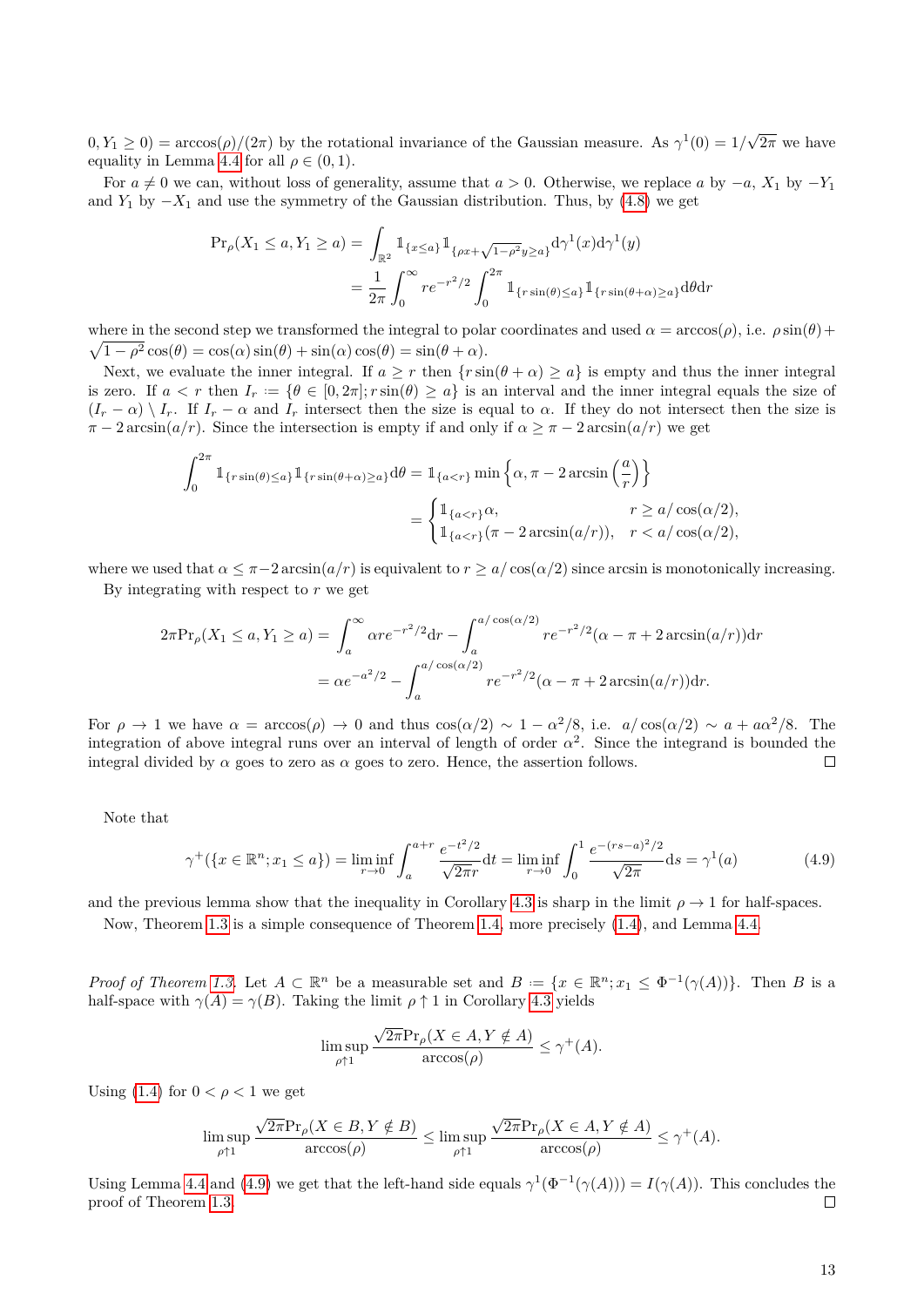$(0, Y_1 \geq 0) = \arccos(\rho)/(2\pi)$  by the rotational invariance of the Gaussian measure. As  $\gamma^1(0) = 1/\sqrt{2\pi}$ √  $2\pi$  we have equality in Lemma [4.4](#page-11-3) for all  $\rho \in (0,1)$ .

For  $a \neq 0$  we can, without loss of generality, assume that  $a > 0$ . Otherwise, we replace *a* by  $-a$ ,  $X_1$  by  $-Y_1$ and  $Y_1$  by  $-X_1$  and use the symmetry of the Gaussian distribution. Thus, by [\(4.8\)](#page-11-2) we get

$$
\Pr_{\rho}(X_1 \le a, Y_1 \ge a) = \int_{\mathbb{R}^2} \mathbb{1}_{\{x \le a\}} \mathbb{1}_{\{\rho x + \sqrt{1 - \rho^2} y \ge a\}} d\gamma^1(x) d\gamma^1(y)
$$

$$
= \frac{1}{2\pi} \int_0^{\infty} r e^{-r^2/2} \int_0^{2\pi} \mathbb{1}_{\{r \sin(\theta) \le a\}} \mathbb{1}_{\{r \sin(\theta + \alpha) \ge a\}} d\theta dr
$$

where in the second step we transformed the integral to polar coordinates and used  $\alpha = \arccos(\rho)$ , i.e.  $\rho \sin(\theta) + \ln(\rho)$  $\sqrt{1-\rho^2}\cos(\theta) = \cos(\alpha)\sin(\theta) + \sin(\alpha)\cos(\theta) = \sin(\theta + \alpha).$ 

Next, we evaluate the inner integral. If  $a \geq r$  then  $\{r \sin(\theta + \alpha) \geq a\}$  is empty and thus the inner integral is zero. If  $a < r$  then  $I_r := \{ \theta \in [0, 2\pi] ; r \sin(\theta) \ge a \}$  is an interval and the inner integral equals the size of  $(I_r - \alpha) \setminus I_r$ . If  $I_r - \alpha$  and  $I_r$  intersect then the size is equal to  $\alpha$ . If they do not intersect then the size is  $\pi - 2 \arcsin(a/r)$ . Since the intersection is empty if and only if  $\alpha \geq \pi - 2 \arcsin(a/r)$  we get

$$
\int_0^{2\pi} \mathbb{1}_{\{r\sin(\theta)\leq a\}} \mathbb{1}_{\{r\sin(\theta+\alpha)\geq a\}} d\theta = \mathbb{1}_{\{a
$$
= \begin{cases} \mathbb{1}_{\{a
$$
$$

where we used that  $\alpha \leq \pi - 2 \arcsin(a/r)$  is equivalent to  $r \geq a/\cos(\alpha/2)$  since arcsin is monotonically increasing.

By integrating with respect to *r* we get

$$
2\pi \Pr_{\rho}(X_1 \le a, Y_1 \ge a) = \int_a^{\infty} \alpha r e^{-r^2/2} dr - \int_a^{a/\cos(\alpha/2)} r e^{-r^2/2} (\alpha - \pi + 2 \arcsin(a/r)) dr
$$
  
=  $\alpha e^{-a^2/2} - \int_a^{a/\cos(\alpha/2)} r e^{-r^2/2} (\alpha - \pi + 2 \arcsin(a/r)) dr.$ 

For  $\rho \to 1$  we have  $\alpha = \arccos(\rho) \to 0$  and thus  $\cos(\alpha/2) \sim 1 - \alpha^2/8$ , i.e.  $a/\cos(\alpha/2) \sim a + a\alpha^2/8$ . The integration of above integral runs over an interval of length of order  $\alpha^2$ . Since the integrand is bounded the integral divided by  $\alpha$  goes to zero as  $\alpha$  goes to zero. Hence, the assertion follows.  $\Box$ 

Note that

<span id="page-12-0"></span>
$$
\gamma^+(\lbrace x \in \mathbb{R}^n; x_1 \le a \rbrace) = \liminf_{r \to 0} \int_a^{a+r} \frac{e^{-t^2/2}}{\sqrt{2\pi}r} dt = \liminf_{r \to 0} \int_0^1 \frac{e^{-(rs-a)^2/2}}{\sqrt{2\pi}} ds = \gamma^1(a)
$$
(4.9)

and the previous lemma show that the inequality in Corollary [4.3](#page-11-4) is sharp in the limit  $\rho \to 1$  for half-spaces.

Now, Theorem [1.3](#page-1-1) is a simple consequence of Theorem [1.4,](#page-2-2) more precisely [\(1.4\)](#page-2-6), and Lemma [4.4.](#page-11-3)

*Proof of Theorem [1.3.](#page-1-1)* Let  $A \subset \mathbb{R}^n$  be a measurable set and  $B := \{x \in \mathbb{R}^n : x_1 \leq \Phi^{-1}(\gamma(A))\}$ . Then *B* is a half-space with  $\gamma(A) = \gamma(B)$ . Taking the limit  $\rho \uparrow 1$  in Corollary [4.3](#page-11-4) yields

$$
\limsup_{\rho \uparrow 1} \frac{\sqrt{2\pi} \Pr_{\rho}(X \in A, Y \notin A)}{\arccos(\rho)} \le \gamma^+(A).
$$

Using [\(1.4\)](#page-2-6) for  $0 < \rho < 1$  we get

$$
\limsup_{\rho \uparrow 1} \frac{\sqrt{2\pi} \Pr_{\rho}(X \in B, Y \notin B)}{\arccos(\rho)} \le \limsup_{\rho \uparrow 1} \frac{\sqrt{2\pi} \Pr_{\rho}(X \in A, Y \notin A)}{\arccos(\rho)} \le \gamma^{+}(A).
$$

Using Lemma [4.4](#page-11-3) and [\(4.9\)](#page-12-0) we get that the left-hand side equals  $\gamma^1(\Phi^{-1}(\gamma(A))) = I(\gamma(A))$ . This concludes the proof of Theorem [1.3.](#page-1-1)  $\Box$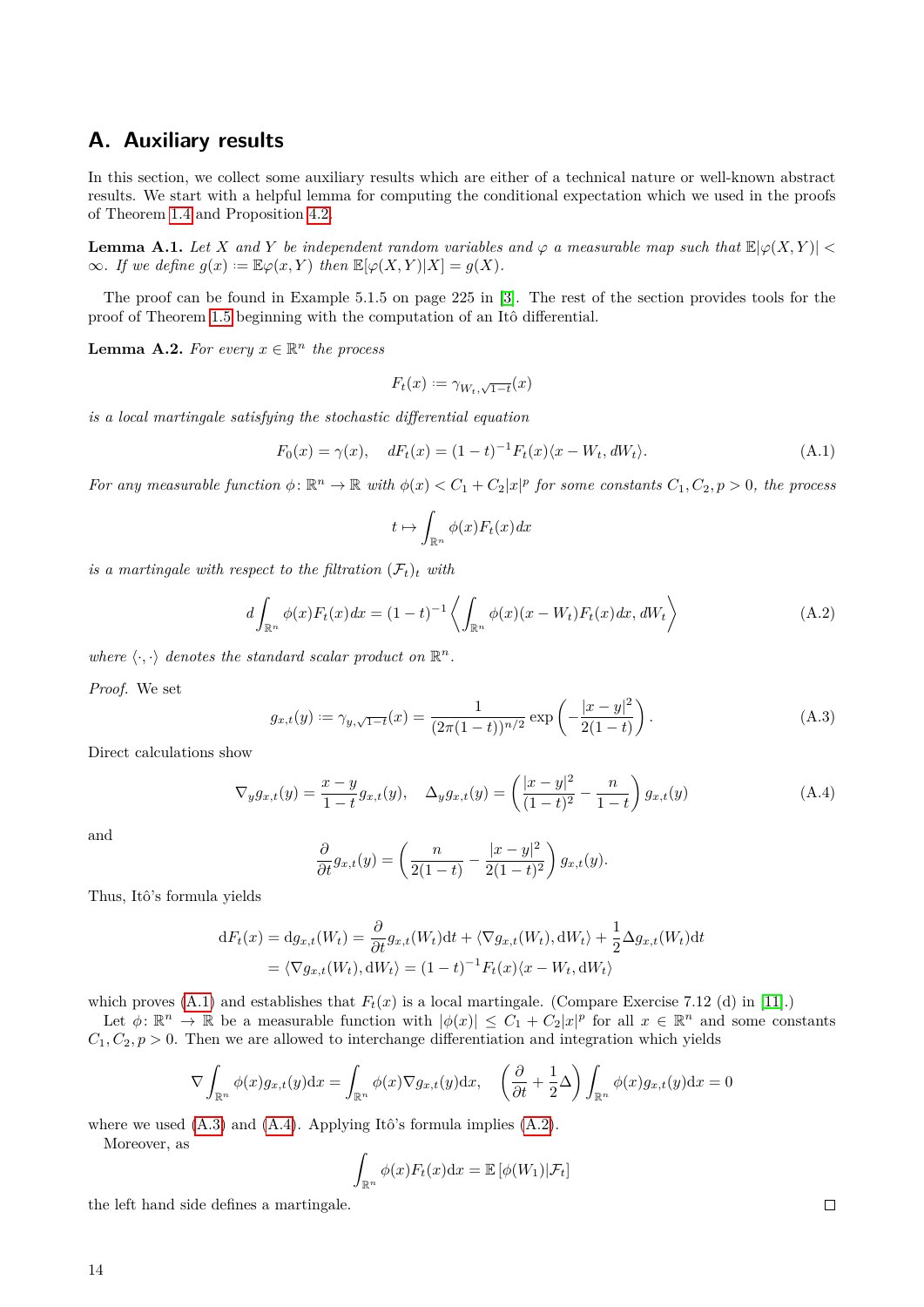## <span id="page-13-0"></span>**A. Auxiliary results**

In this section, we collect some auxiliary results which are either of a technical nature or well-known abstract results. We start with a helpful lemma for computing the conditional expectation which we used in the proofs of Theorem [1.4](#page-2-2) and Proposition [4.2.](#page-10-4)

<span id="page-13-2"></span>**Lemma A.1.** Let *X* and *Y* be independent random variables and  $\varphi$  a measurable map such that  $\mathbb{E}|\varphi(X,Y)| <$  $\infty$ *. If we define*  $g(x) := \mathbb{E}\varphi(x, Y)$  *then*  $\mathbb{E}[\varphi(X, Y)|X] = g(X)$ *.* 

The proof can be found in Example 5.1.5 on page 225 in [\[3\]](#page-16-9). The rest of the section provides tools for the proof of Theorem [1.5](#page-2-4) beginning with the computation of an Itô differential.

<span id="page-13-1"></span>**Lemma A.2.** For every  $x \in \mathbb{R}^n$  the process

<span id="page-13-3"></span>
$$
F_t(x) := \gamma_{W_t,\sqrt{1-t}}(x)
$$

*is a local martingale satisfying the stochastic differential equation*

$$
F_0(x) = \gamma(x), \quad dF_t(x) = (1 - t)^{-1} F_t(x) \langle x - W_t, dW_t \rangle.
$$
 (A.1)

*For any measurable function*  $\phi: \mathbb{R}^n \to \mathbb{R}$  *with*  $\phi(x) < C_1 + C_2|x|^p$  *for some constants*  $C_1, C_2, p > 0$ *, the process* 

<span id="page-13-6"></span>
$$
t \mapsto \int_{\mathbb{R}^n} \phi(x) F_t(x) dx
$$

*is a martingale with respect to the filtration*  $(\mathcal{F}_t)_t$  *with* 

$$
d\int_{\mathbb{R}^n} \phi(x) F_t(x) dx = (1-t)^{-1} \left\langle \int_{\mathbb{R}^n} \phi(x) (x - W_t) F_t(x) dx, dW_t \right\rangle \tag{A.2}
$$

where  $\langle \cdot, \cdot \rangle$  *denotes the standard scalar product on*  $\mathbb{R}^n$ .

*Proof.* We set

<span id="page-13-5"></span><span id="page-13-4"></span>
$$
g_{x,t}(y) := \gamma_{y,\sqrt{1-t}}(x) = \frac{1}{(2\pi(1-t))^{n/2}} \exp\left(-\frac{|x-y|^2}{2(1-t)}\right).
$$
 (A.3)

Direct calculations show

$$
\nabla_y g_{x,t}(y) = \frac{x-y}{1-t} g_{x,t}(y), \quad \Delta_y g_{x,t}(y) = \left(\frac{|x-y|^2}{(1-t)^2} - \frac{n}{1-t}\right) g_{x,t}(y)
$$
(A.4)

and

$$
\frac{\partial}{\partial t}g_{x,t}(y) = \left(\frac{n}{2(1-t)} - \frac{|x-y|^2}{2(1-t)^2}\right)g_{x,t}(y).
$$

Thus, Itô's formula yields

$$
dF_t(x) = dg_{x,t}(W_t) = \frac{\partial}{\partial t} g_{x,t}(W_t) dt + \langle \nabla g_{x,t}(W_t), dW_t \rangle + \frac{1}{2} \Delta g_{x,t}(W_t) dt
$$
  
=  $\langle \nabla g_{x,t}(W_t), dW_t \rangle = (1 - t)^{-1} F_t(x) \langle x - W_t, dW_t \rangle$ 

which proves  $(A.1)$  and establishes that  $F_t(x)$  is a local martingale. (Compare Exercise 7.12 (d) in [\[11\]](#page-16-7).)

Let  $\phi: \mathbb{R}^n \to \mathbb{R}$  be a measurable function with  $|\phi(x)| \leq C_1 + C_2|x|^p$  for all  $x \in \mathbb{R}^n$  and some constants  $C_1, C_2, p > 0$ . Then we are allowed to interchange differentiation and integration which yields

$$
\nabla \int_{\mathbb{R}^n} \phi(x) g_{x,t}(y) dx = \int_{\mathbb{R}^n} \phi(x) \nabla g_{x,t}(y) dx, \quad \left(\frac{\partial}{\partial t} + \frac{1}{2} \Delta\right) \int_{\mathbb{R}^n} \phi(x) g_{x,t}(y) dx = 0
$$

where we used [\(A.3\)](#page-13-4) and [\(A.4\)](#page-13-5). Applying Itô's formula implies [\(A.2\)](#page-13-6).

Moreover, as

$$
\int_{\mathbb{R}^n} \phi(x) F_t(x) \mathrm{d} x = \mathbb{E} \left[ \phi(W_1) | \mathcal{F}_t \right]
$$

the left hand side defines a martingale.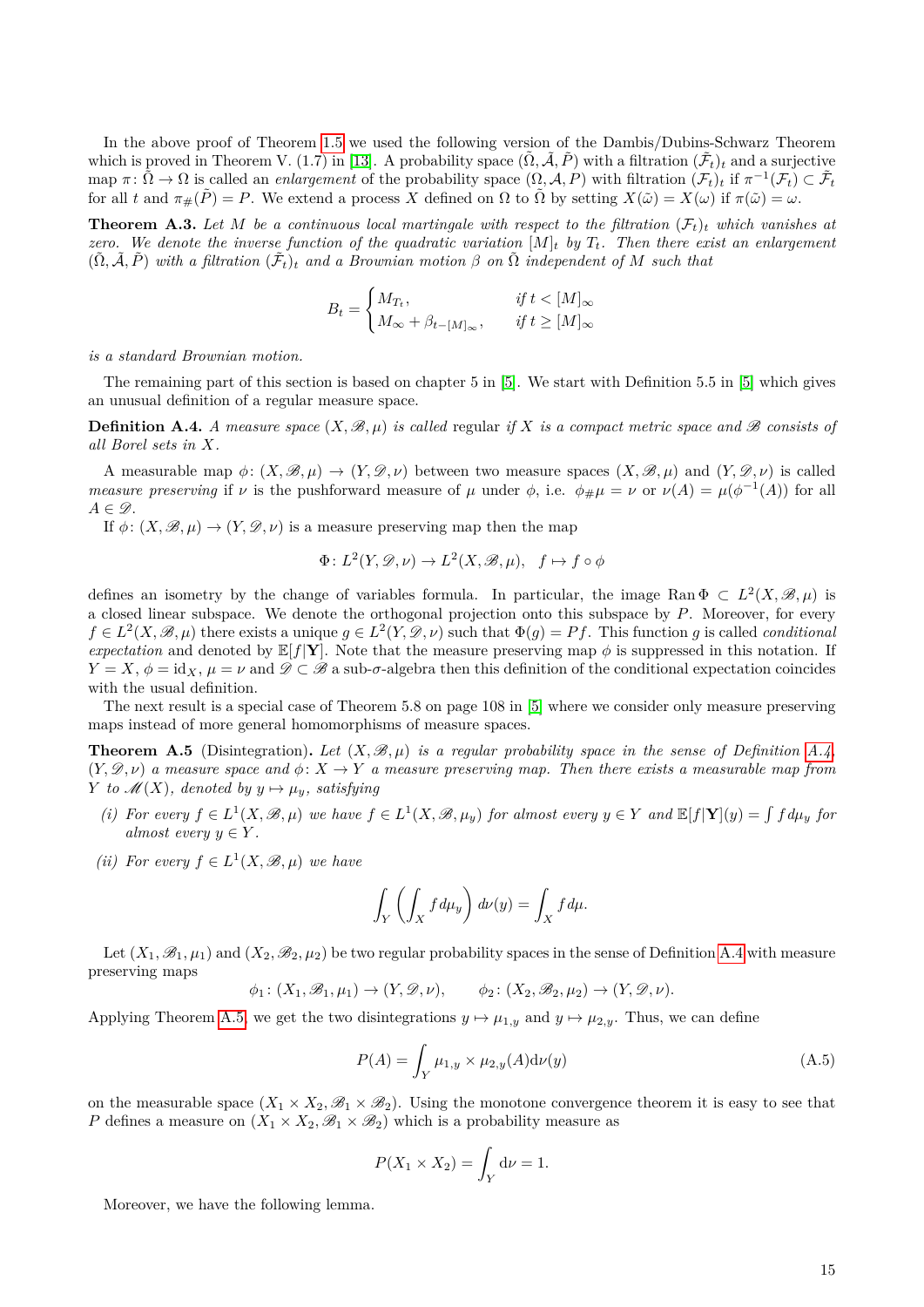In the above proof of Theorem [1.5](#page-2-4) we used the following version of the Dambis/Dubins-Schwarz Theorem which is proved in Theorem V. (1.7) in [\[13\]](#page-16-10). A probability space  $(\tilde{\Omega}, \tilde{\mathcal{A}}, \tilde{P})$  with a filtration  $(\tilde{\mathcal{F}}_t)_t$  and a surjective  $\text{map } \pi : \tilde{\Omega} \to \Omega \text{ is called an *enlargement* of the probability space } (\Omega, \mathcal{A}, P) \text{ with filtration } (\mathcal{F}_t)_t \text{ if } \pi^{-1}(\mathcal{F}_t) \subset \tilde{\mathcal{F}}_t$ for all *t* and  $\pi_{\#}(\tilde{P}) = P$ . We extend a process *X* defined on  $\Omega$  to  $\tilde{\Omega}$  by setting  $X(\tilde{\omega}) = X(\omega)$  if  $\pi(\tilde{\omega}) = \omega$ .

<span id="page-14-0"></span>**Theorem A.3.** Let M be a continuous local martingale with respect to the filtration  $(\mathcal{F}_t)_t$  which vanishes at *zero.* We denote the inverse function of the quadratic variation  $[M]_t$  by  $T_t$ . Then there exist an enlargement  $(\tilde{\Omega}, \tilde{\mathcal{A}}, \tilde{P})$  with a filtration  $(\tilde{\mathcal{F}}_t)_t$  and a Brownian motion  $\beta$  on  $\tilde{\Omega}$  independent of M such that

$$
B_t = \begin{cases} M_{T_t}, & \text{if } t < [M]_\infty \\ M_\infty + \beta_{t-[M]_\infty}, & \text{if } t \ge [M]_\infty \end{cases}
$$

*is a standard Brownian motion.*

The remaining part of this section is based on chapter 5 in [\[5\]](#page-16-11). We start with Definition 5.5 in [\[5\]](#page-16-11) which gives an unusual definition of a regular measure space.

<span id="page-14-1"></span>**Definition A.4.** *A measure space*  $(X, \mathcal{B}, \mu)$  *is called regular if X is a compact metric space and*  $\mathcal{B}$  *consists of all Borel sets in X.*

A measurable map  $\phi: (X, \mathcal{B}, \mu) \to (Y, \mathcal{D}, \nu)$  between two measure spaces  $(X, \mathcal{B}, \mu)$  and  $(Y, \mathcal{D}, \nu)$  is called *measure preserving* if  $\nu$  is the pushforward measure of  $\mu$  under  $\phi$ , i.e.  $\phi_{\#}\mu = \nu$  or  $\nu(A) = \mu(\phi^{-1}(A))$  for all  $A \in \mathscr{D}$ .

If  $\phi: (X, \mathscr{B}, \mu) \to (Y, \mathscr{D}, \nu)$  is a measure preserving map then the map

$$
\Phi: L^2(Y, \mathcal{D}, \nu) \to L^2(X, \mathcal{B}, \mu), \quad f \mapsto f \circ \phi
$$

defines an isometry by the change of variables formula. In particular, the image Ran  $\Phi \subset L^2(X,\mathscr{B},\mu)$  is a closed linear subspace. We denote the orthogonal projection onto this subspace by *P*. Moreover, for every  $f \in L^2(X, \mathscr{B}, \mu)$  there exists a unique  $g \in L^2(Y, \mathscr{D}, \nu)$  such that  $\Phi(g) = Pf$ . This function *g* is called *conditional expectation* and denoted by  $\mathbb{E}[f|\mathbf{Y}]$ . Note that the measure preserving map  $\phi$  is suppressed in this notation. If  $Y = X$ ,  $\phi = id_X$ ,  $\mu = \nu$  and  $\mathscr{D} \subset \mathscr{B}$  a sub- $\sigma$ -algebra then this definition of the conditional expectation coincides with the usual definition.

The next result is a special case of Theorem 5.8 on page 108 in [\[5\]](#page-16-11) where we consider only measure preserving maps instead of more general homomorphisms of measure spaces.

<span id="page-14-2"></span>**Theorem A.5** (Disintegration). Let  $(X, \mathcal{B}, \mu)$  is a regular probability space in the sense of Definition [A.4,](#page-14-1)  $(Y, \mathscr{D}, \nu)$  *a measure space and*  $\phi: X \to Y$  *a measure preserving map. Then there exists a measurable map from Y to*  $\mathcal{M}(X)$ *, denoted by*  $y \mapsto \mu_y$ *, satisfying* 

- (i) For every  $f \in L^1(X, \mathcal{B}, \mu)$  we have  $f \in L^1(X, \mathcal{B}, \mu_y)$  for almost every  $y \in Y$  and  $\mathbb{E}[f|Y](y) = \int f d\mu_y$  for *almost every*  $y \in Y$ *.*
- *(ii) For every*  $f \in L^1(X, \mathcal{B}, \mu)$  *we have*

$$
\int_Y \left( \int_X f d\mu_y \right) d\nu(y) = \int_X f d\mu.
$$

Let  $(X_1, \mathscr{B}_1, \mu_1)$  and  $(X_2, \mathscr{B}_2, \mu_2)$  be two regular probability spaces in the sense of Definition [A.4](#page-14-1) with measure preserving maps

$$
\phi_1\colon (X_1,\mathscr{B}_1,\mu_1)\to (Y,\mathscr{D},\nu), \qquad \phi_2\colon (X_2,\mathscr{B}_2,\mu_2)\to (Y,\mathscr{D},\nu).
$$

Applying Theorem [A.5,](#page-14-2) we get the two disintegrations  $y \mapsto \mu_{1,y}$  and  $y \mapsto \mu_{2,y}$ . Thus, we can define

<span id="page-14-3"></span>
$$
P(A) = \int_{Y} \mu_{1,y} \times \mu_{2,y}(A) d\nu(y)
$$
\n(A.5)

on the measurable space  $(X_1 \times X_2, \mathcal{B}_1 \times \mathcal{B}_2)$ . Using the monotone convergence theorem it is easy to see that *P* defines a measure on  $(X_1 \times X_2, \mathcal{B}_1 \times \mathcal{B}_2)$  which is a probability measure as

$$
P(X_1 \times X_2) = \int_Y d\nu = 1.
$$

<span id="page-14-4"></span>Moreover, we have the following lemma.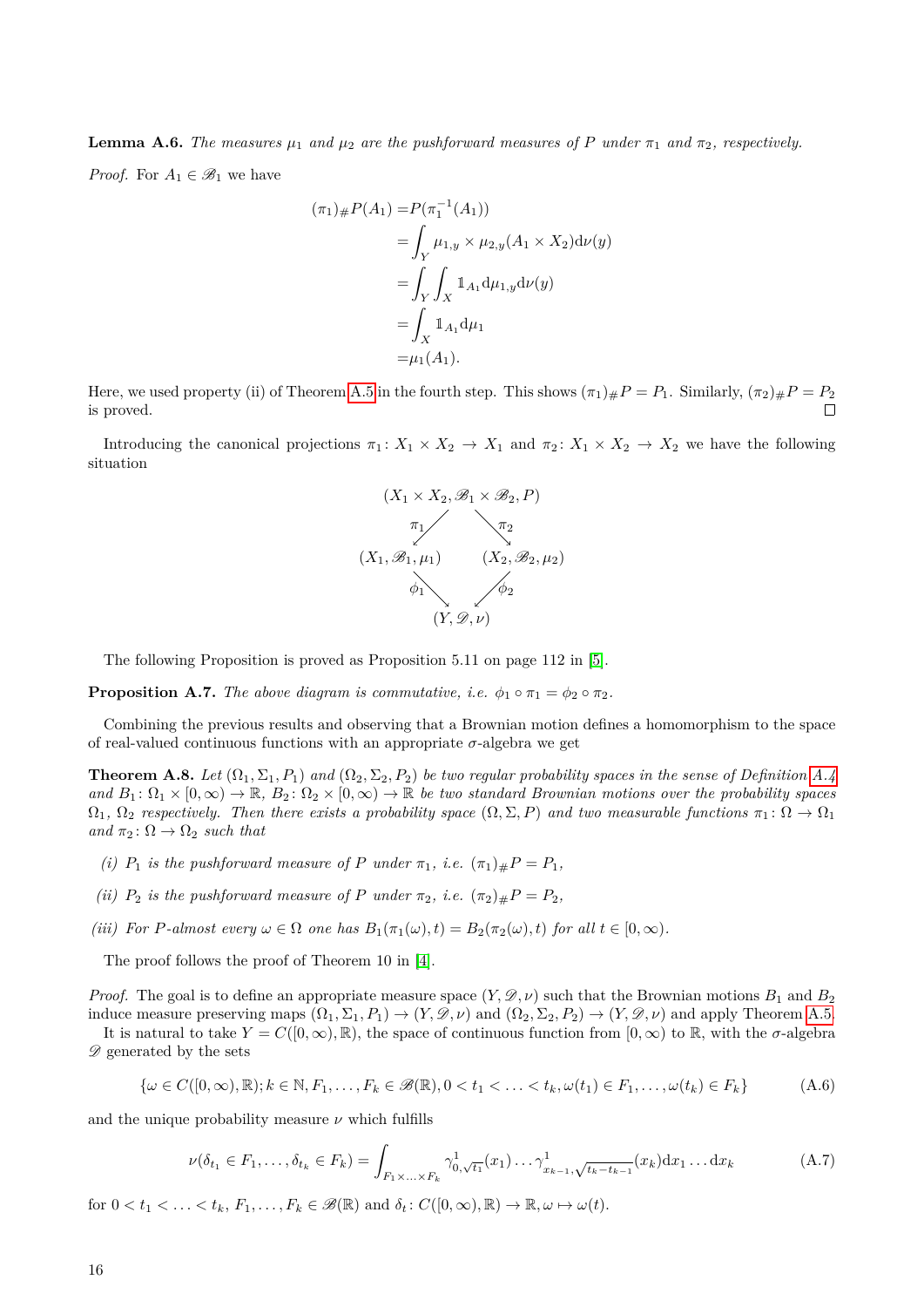**Lemma A.6.** *The measures*  $\mu_1$  *and*  $\mu_2$  *are the pushforward measures of P under*  $\pi_1$  *and*  $\pi_2$ *, respectively.* 

*Proof.* For  $A_1 \in \mathcal{B}_1$  we have

$$
(\pi_1)_\# P(A_1) = P(\pi_1^{-1}(A_1))
$$
  
=  $\int_Y \mu_{1,y} \times \mu_{2,y}(A_1 \times X_2) d\nu(y)$   
=  $\int_Y \int_X \mathbb{1}_{A_1} d\mu_{1,y} d\nu(y)$   
=  $\int_X \mathbb{1}_{A_1} d\mu_1$   
=  $\mu_1(A_1)$ .

Here, we used property (ii) of Theorem [A.5](#page-14-2) in the fourth step. This shows  $(\pi_1)_\#P = P_1$ . Similarly,  $(\pi_2)_\#P = P_2$ is proved.

Introducing the canonical projections  $\pi_1: X_1 \times X_2 \to X_1$  and  $\pi_2: X_1 \times X_2 \to X_2$  we have the following situation



The following Proposition is proved as Proposition 5.11 on page 112 in [\[5\]](#page-16-11).

<span id="page-15-3"></span>**Proposition A.7.** *The above diagram is commutative, i.e.*  $\phi_1 \circ \pi_1 = \phi_2 \circ \pi_2$ *.* 

Combining the previous results and observing that a Brownian motion defines a homomorphism to the space of real-valued continuous functions with an appropriate  $\sigma$ -algebra we get

<span id="page-15-0"></span>**Theorem A.8.** Let  $(\Omega_1, \Sigma_1, P_1)$  and  $(\Omega_2, \Sigma_2, P_2)$  be two regular probability spaces in the sense of Definition [A.4](#page-14-1) and  $B_1: \Omega_1 \times [0, \infty) \to \mathbb{R}$ ,  $B_2: \Omega_2 \times [0, \infty) \to \mathbb{R}$  *be two standard Brownian motions over the probability spaces*  $\Omega_1, \Omega_2$  *respectively. Then there exists a probability space*  $(\Omega, \Sigma, P)$  *and two measurable functions*  $\pi_1 \colon \Omega \to \Omega_1$ *and*  $\pi_2$ :  $\Omega \rightarrow \Omega_2$  *such that* 

- *(i)*  $P_1$  *is the pushforward measure of*  $P$  *under*  $\pi_1$ *, i.e.*  $(\pi_1)_\# P = P_1$ *,*
- *(ii)*  $P_2$  *is the pushforward measure of P under*  $\pi_2$ *, i.e.*  $(\pi_2)_{\#}P = P_2$ *,*
- *(iii) For P*-almost every  $\omega \in \Omega$  *one has*  $B_1(\pi_1(\omega), t) = B_2(\pi_2(\omega), t)$  *for all*  $t \in [0, \infty)$ *.*

The proof follows the proof of Theorem 10 in [\[4\]](#page-16-6).

*Proof.* The goal is to define an appropriate measure space  $(Y, \mathscr{D}, \nu)$  such that the Brownian motions  $B_1$  and  $B_2$ induce measure preserving maps  $(\Omega_1, \Sigma_1, P_1) \to (Y, \mathscr{D}, \nu)$  and  $(\Omega_2, \Sigma_2, P_2) \to (Y, \mathscr{D}, \nu)$  and apply Theorem [A.5.](#page-14-2)

It is natural to take  $Y = C([0,\infty), \mathbb{R})$ , the space of continuous function from  $[0,\infty)$  to  $\mathbb{R}$ , with the  $\sigma$ -algebra  $\mathscr{D}$  generated by the sets

<span id="page-15-1"></span>
$$
\{\omega \in C([0,\infty),\mathbb{R}); k \in \mathbb{N}, F_1, \ldots, F_k \in \mathscr{B}(\mathbb{R}), 0 < t_1 < \ldots < t_k, \omega(t_1) \in F_1, \ldots, \omega(t_k) \in F_k\}
$$
\n(A.6)

and the unique probability measure  $\nu$  which fulfills

<span id="page-15-2"></span>
$$
\nu(\delta_{t_1} \in F_1, \dots, \delta_{t_k} \in F_k) = \int_{F_1 \times \dots \times F_k} \gamma_{0, \sqrt{t_1}}^1(x_1) \dots \gamma_{x_{k-1}, \sqrt{t_k - t_{k-1}}}^1(x_k) dx_1 \dots dx_k
$$
\n(A.7)

for  $0 < t_1 < \ldots < t_k$ ,  $F_1, \ldots, F_k \in \mathscr{B}(\mathbb{R})$  and  $\delta_t : C([0, \infty), \mathbb{R}) \to \mathbb{R}, \omega \mapsto \omega(t)$ .